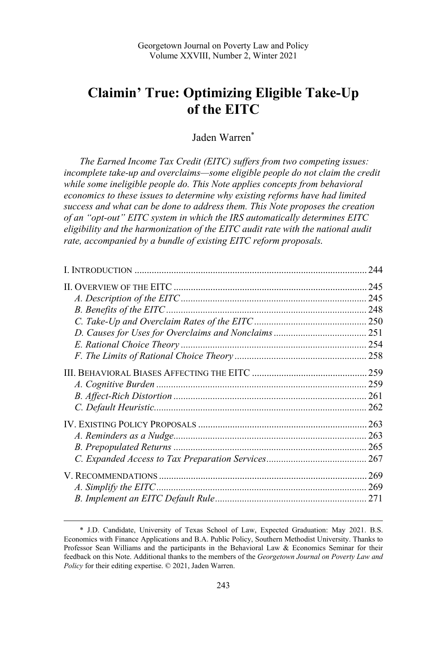# **Claimin' True: Optimizing Eligible Take-Up of the EITC**

Jaden Warren\*

*The Earned Income Tax Credit (EITC) suffers from two competing issues:*  incomplete take-up and overclaims—some eligible people do not claim the credit *while some ineligible people do. This Note applies concepts from behavioral economics to these issues to determine why existing reforms have had limited success and what can be done to address them. This Note proposes the creation of an "opt-out" EITC system in which the IRS automatically determines EITC eligibility and the harmonization of the EITC audit rate with the national audit rate, accompanied by a bundle of existing EITC reform proposals.*

| 244 |
|-----|
|     |
|     |
|     |
|     |
|     |
|     |
|     |
|     |
|     |
|     |
|     |
|     |
|     |
|     |
|     |
|     |
|     |
|     |

 <sup>\*</sup> J.D. Candidate, University of Texas School of Law, Expected Graduation: May 2021. B.S. Economics with Finance Applications and B.A. Public Policy, Southern Methodist University. Thanks to Professor Sean Williams and the participants in the Behavioral Law & Economics Seminar for their feedback on this Note. Additional thanks to the members of the *Georgetown Journal on Poverty Law and Policy* for their editing expertise. © 2021, Jaden Warren.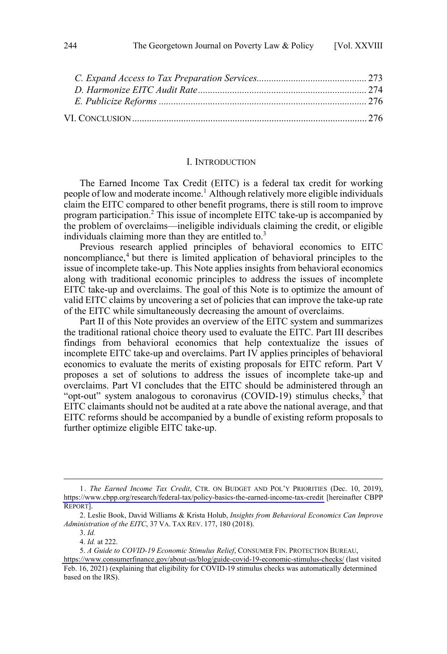<span id="page-1-0"></span>

#### I. INTRODUCTION

The Earned Income Tax Credit (EITC) is a federal tax credit for working people of low and moderate income.<sup>1</sup> Although relatively more eligible individuals claim the EITC compared to other benefit programs, there is still room to improve program participation.<sup>2</sup> This issue of incomplete EITC take-up is accompanied by the problem of overclaims—ineligible individuals claiming the credit, or eligible individuals claiming more than they are entitled to. $3$ 

Previous research applied principles of behavioral economics to EITC noncompliance,<sup>4</sup> but there is limited application of behavioral principles to the issue of incomplete take-up. This Note applies insights from behavioral economics along with traditional economic principles to address the issues of incomplete EITC take-up and overclaims. The goal of this Note is to optimize the amount of valid EITC claims by uncovering a set of policies that can improve the take-up rate of the EITC while simultaneously decreasing the amount of overclaims.

Part II of this Note provides an overview of the EITC system and summarizes the traditional rational choice theory used to evaluate the EITC. Part III describes findings from behavioral economics that help contextualize the issues of incomplete EITC take-up and overclaims. Part IV applies principles of behavioral economics to evaluate the merits of existing proposals for EITC reform. Part V proposes a set of solutions to address the issues of incomplete take-up and overclaims. Part VI concludes that the EITC should be administered through an "opt-out" system analogous to coronavirus (COVID-19) stimulus checks,  $\bar{5}$  that EITC claimants should not be audited at a rate above the national average, and that EITC reforms should be accompanied by a bundle of existing reform proposals to further optimize eligible EITC take-up.

<sup>1.</sup> The Earned Income Tax Credit, CTR. ON BUDGET AND POL'Y PRIORITIES (Dec. 10, 2019), <https://www.cbpp.org/research/federal-tax/policy-basics-the-earned-income-tax-credit>[hereinafter CBPP REPORT].

<sup>2.</sup> Leslie Book, David Williams & Krista Holub, *Insights from Behavioral Economics Can Improve Administration of the EITC*, 37 VA. TAX REV. 177, 180 (2018).

<sup>3.</sup> *Id.* 

<sup>4.</sup> *Id.* at 222.

*A Guide to COVID-19 Economic Stimulus Relief*, CONSUMER FIN. PROTECTION BUREAU, 5. <https://www.consumerfinance.gov/about-us/blog/guide-covid-19-economic-stimulus-checks/> (last visited Feb. 16, 2021) (explaining that eligibility for COVID-19 stimulus checks was automatically determined based on the IRS).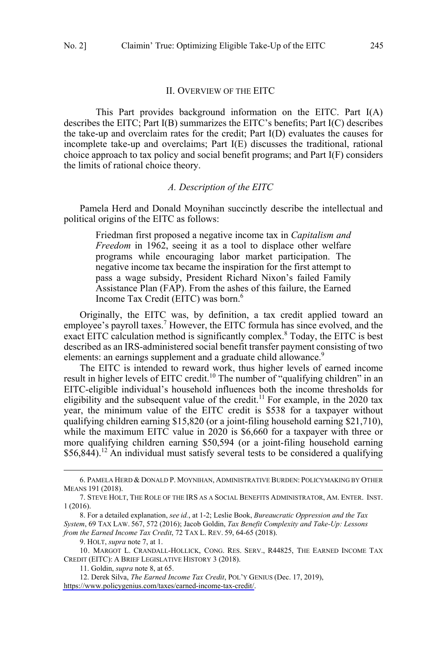#### II. OVERVIEW OF THE EITC

<span id="page-2-0"></span>This Part provides background information on the EITC. Part I(A) describes the EITC; Part I(B) summarizes the EITC's benefits; Part I(C) describes the take-up and overclaim rates for the credit; Part I(D) evaluates the causes for incomplete take-up and overclaims; Part I(E) discusses the traditional, rational choice approach to tax policy and social benefit programs; and Part I(F) considers the limits of rational choice theory.

# *A. Description of the EITC*

Pamela Herd and Donald Moynihan succinctly describe the intellectual and political origins of the EITC as follows:

Friedman first proposed a negative income tax in *Capitalism and Freedom* in 1962, seeing it as a tool to displace other welfare programs while encouraging labor market participation. The negative income tax became the inspiration for the first attempt to pass a wage subsidy, President Richard Nixon's failed Family Assistance Plan (FAP). From the ashes of this failure, the Earned Income Tax Credit (EITC) was born.<sup>6</sup>

Originally, the EITC was, by definition, a tax credit applied toward an employee's payroll taxes.<sup>7</sup> However, the EITC formula has since evolved, and the exact EITC calculation method is significantly complex.<sup>8</sup> Today, the EITC is best described as an IRS-administered social benefit transfer payment consisting of two elements: an earnings supplement and a graduate child allowance.<sup>9</sup>

The EITC is intended to reward work, thus higher levels of earned income result in higher levels of EITC credit.<sup>10</sup> The number of "qualifying children" in an EITC-eligible individual's household influences both the income thresholds for eligibility and the subsequent value of the credit.<sup>11</sup> For example, in the 2020 tax year, the minimum value of the EITC credit is \$538 for a taxpayer without qualifying children earning \$15,820 (or a joint-filing household earning \$21,710), while the maximum EITC value in 2020 is \$6,660 for a taxpayer with three or more qualifying children earning \$50,594 (or a joint-filing household earning  $$56,844$ ).<sup>12</sup> An individual must satisfy several tests to be considered a qualifying

<sup>6.</sup> PAMELA HERD & DONALD P. MOYNIHAN, ADMINISTRATIVE BURDEN: POLICYMAKING BY OTHER MEANS 191 (2018).

<sup>7.</sup> STEVE HOLT, THE ROLE OF THE IRS AS A SOCIAL BENEFITS ADMINISTRATOR, AM. ENTER. INST. 1 (2016).

<sup>8.</sup> For a detailed explanation, *see id.*, at 1-2; Leslie Book, *Bureaucratic Oppression and the Tax System*, 69 TAX LAW. 567, 572 (2016); Jacob Goldin, *Tax Benefit Complexity and Take-Up: Lessons from the Earned Income Tax Credit*, 72 TAX L. REV. 59, 64-65 (2018).

<sup>9.</sup> HOLT, *supra* note 7, at 1.

<sup>10.</sup> MARGOT L. CRANDALL-HOLLICK, CONG. RES. SERV., R44825, THE EARNED INCOME TAX CREDIT (EITC): A BRIEF LEGISLATIVE HISTORY 3 (2018).

<sup>11.</sup> Goldin, *supra* note 8, at 65.

<sup>12.</sup> Derek Silva, *The Earned Income Tax Credit*, POL'Y GENIUS (Dec. 17, 2019), [https://www.policygenius.com/taxes/earned-income-tax-credit/.](https://www.policygenius.com/taxes/earned-income-tax-credit/)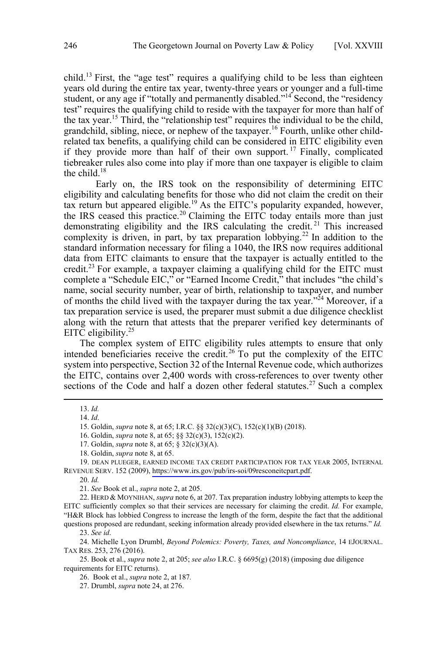child.<sup>13</sup> First, the "age test" requires a qualifying child to be less than eighteen years old during the entire tax year, twenty-three years or younger and a full-time student, or any age if "totally and permanently disabled."<sup>14</sup> Second, the "residency" test" requires the qualifying child to reside with the taxpayer for more than half of the tax year.15 Third, the "relationship test" requires the individual to be the child, grandchild, sibling, niece, or nephew of the taxpayer.<sup>16</sup> Fourth, unlike other childrelated tax benefits, a qualifying child can be considered in EITC eligibility even if they provide more than half of their own support. <sup>17</sup> Finally, complicated tiebreaker rules also come into play if more than one taxpayer is eligible to claim the child. $18$ 

Early on, the IRS took on the responsibility of determining EITC eligibility and calculating benefits for those who did not claim the credit on their tax return but appeared eligible.<sup>19</sup> As the EITC's popularity expanded, however, the IRS ceased this practice.<sup>20</sup> Claiming the EITC today entails more than just demonstrating eligibility and the IRS calculating the credit.<sup>21</sup> This increased complexity is driven, in part, by tax preparation lobbying.<sup>22</sup> In addition to the standard information necessary for filing a 1040, the IRS now requires additional data from EITC claimants to ensure that the taxpayer is actually entitled to the credit.<sup>23</sup> For example, a taxpayer claiming a qualifying child for the EITC must complete a "Schedule EIC," or "Earned Income Credit," that includes "the child's name, social security number, year of birth, relationship to taxpayer, and number of months the child lived with the taxpayer during the tax year."<sup>24</sup> Moreover, if a tax preparation service is used, the preparer must submit a due diligence checklist along with the return that attests that the preparer verified key determinants of EITC eligibility. $25$ 

The complex system of EITC eligibility rules attempts to ensure that only intended beneficiaries receive the credit.<sup>26</sup> To put the complexity of the EITC system into perspective, Section 32 of the Internal Revenue code, which authorizes the EITC, contains over 2,400 words with cross-references to over twenty other sections of the Code and half a dozen other federal statutes.<sup>27</sup> Such a complex

 $\overline{a}$ 

19. DEAN PLUEGER, EARNED INCOME TAX CREDIT PARTICIPATION FOR TAX YEAR 2005, INTERNAL REVENUE SERV. 152 (2009), <https://www.irs.gov/pub/irs-soi/09resconeitcpart.pdf>.

20. *Id.*

21. *See* Book et al., *supra* note 2, at 205.

22. HERD & MOYNIHAN, *supra* note 6, at 207. Tax preparation industry lobbying attempts to keep the EITC sufficiently complex so that their services are necessary for claiming the credit. *Id.* For example, "H&R Block has lobbied Congress to increase the length of the form, despite the fact that the additional questions proposed are redundant, seeking information already provided elsewhere in the tax returns." *Id.* 

23. *See id*.

24. Michelle Lyon Drumbl, *Beyond Polemics: Poverty, Taxes, and Noncompliance*, 14 EJOURNAL. TAX RES. 253, 276 (2016).

25. Book et al., *supra* note 2, at 205; *see also* I.R.C. § 6695(g) (2018) (imposing due diligence requirements for EITC returns).

26. Book et al., *supra* note 2, at 187*.*

<sup>13.</sup>  *Id.* 

<sup>14.</sup> *Id*.

<sup>15.</sup> Goldin, *supra* note 8, at 65; I.R.C. §§ 32(c)(3)(C), 152(c)(1)(B) (2018).

<sup>16.</sup> Goldin, *supra* note 8, at 65; §§ 32(c)(3), 152(c)(2).

<sup>17.</sup> Goldin, *supra* note 8, at 65; § 32(c)(3)(A).

<sup>18.</sup> Goldin, *supra* note 8, at 65.

<sup>27.</sup> Drumbl, *supra* note 24, at 276.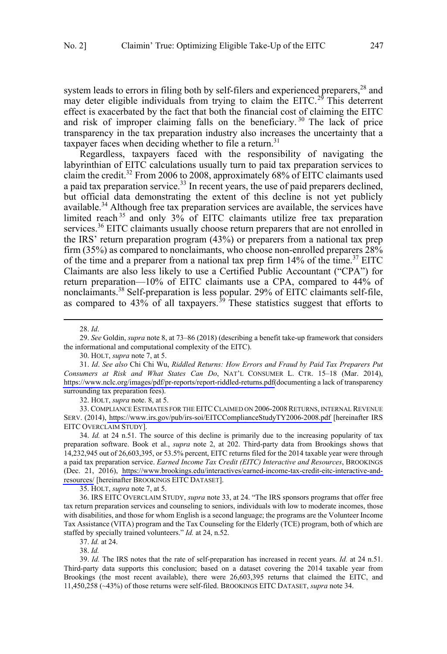system leads to errors in filing both by self-filers and experienced preparers, $^{28}$  and may deter eligible individuals from trying to claim the EITC.<sup>29</sup> This deterrent effect is exacerbated by the fact that both the financial cost of claiming the EITC and risk of improper claiming falls on the beneficiary. <sup>30</sup> The lack of price transparency in the tax preparation industry also increases the uncertainty that a taxpayer faces when deciding whether to file a return.<sup>31</sup>

Regardless, taxpayers faced with the responsibility of navigating the labyrinthian of EITC calculations usually turn to paid tax preparation services to claim the credit.<sup>32</sup> From 2006 to 2008, approximately 68% of EITC claimants used a paid tax preparation service.<sup>33</sup> In recent years, the use of paid preparers declined, but official data demonstrating the extent of this decline is not yet publicly available.<sup>34</sup> Although free tax preparation services are available, the services have limited reach <sup>35</sup> and only 3% of EITC claimants utilize free tax preparation services.<sup>36</sup> EITC claimants usually choose return preparers that are not enrolled in the IRS' return preparation program (43%) or preparers from a national tax prep firm (35%) as compared to nonclaimants, who choose non-enrolled preparers  $28\%$ of the time and a preparer from a national tax prep firm  $14\%$  of the time.<sup>37</sup> EITC Claimants are also less likely to use a Certified Public Accountant ("CPA") for return preparation—10% of EITC claimants use a CPA, compared to 44% of nonclaimants.<sup>38</sup> Self-preparation is less popular. 29% of EITC claimants self-file, as compared to 43% of all taxpayers.<sup>39</sup> These statistics suggest that efforts to

 $\overline{a}$ 

29. *See* Goldin, *supra* note 8, at 73–86 (2018) (describing a benefit take-up framework that considers the informational and computational complexity of the EITC).

32. HOLT, *supra* note. 8, at 5.

33. COMPLIANCE ESTIMATES FOR THE EITC CLAIMED ON 2006-2008 RETURNS, INTERNAL REVENUE SERV. (2014),<https://www.irs.gov/pub/irs-soi/EITCComplianceStudyTY2006-2008.pdf>[hereinafter IRS EITC OVERCLAIM STUDY].

34. *Id.* at 24 n.51. The source of this decline is primarily due to the increasing popularity of tax preparation software. Book et al., *supra* note 2, at 202. Third-party data from Brookings shows that 14,232,945 out of 26,603,395, or 53.5% percent, EITC returns filed for the 2014 taxable year were through a paid tax preparation service. *Earned Income Tax Credit (EITC) Interactive and Resources*, BROOKINGS (Dec. 21, 2016), [https://www.brookings.edu/interactives/earned-income-tax-credit-eitc-interactive-and](https://www.brookings.edu/interactives/earned-income-tax-credit-eitc-interactive-and-resources/)[resources/](https://www.brookings.edu/interactives/earned-income-tax-credit-eitc-interactive-and-resources/) [hereinafter BROOKINGS EITC DATASET].

35. HOLT, *supra* note 7, at 5.

36. IRS EITC OVERCLAIM STUDY, *supra* note 33, at 24. "The IRS sponsors programs that offer free tax return preparation services and counseling to seniors, individuals with low to moderate incomes, those with disabilities, and those for whom English is a second language; the programs are the Volunteer Income Tax Assistance (VITA) program and the Tax Counseling for the Elderly (TCE) program, both of which are staffed by specially trained volunteers." *Id.* at 24, n.52.

38. *Id.* 

39. *Id.* The IRS notes that the rate of self-preparation has increased in recent years. *Id.* at 24 n.51. Third-party data supports this conclusion; based on a dataset covering the 2014 taxable year from Brookings (the most recent available), there were 26,603,395 returns that claimed the EITC, and 11,450,258 (~43%) of those returns were self-filed. BROOKINGS EITC DATASET, *supra* note 34.

<sup>28.</sup> *Id*.

<sup>30.</sup> HOLT, *supra* note 7, at 5.

*Id*. *See also* Chi Chi Wu, *Riddled Returns: How Errors and Fraud by Paid Tax Preparers Put*  31. *Consumers at Risk and What States Can Do*, NAT'L CONSUMER L. CTR. 15–18 (Mar. 2014), [https://www.nclc.org/images/pdf/pr-reports/report-riddled-returns.pdf\(](https://www.nclc.org/images/pdf/pr-reports/report-riddled-returns.pdf)documenting a lack of transparency surrounding tax preparation fees).

<sup>37.</sup> *Id.* at 24.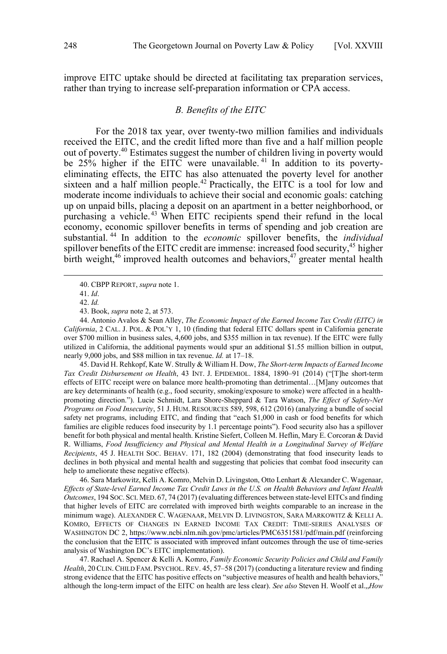<span id="page-5-0"></span>improve EITC uptake should be directed at facilitating tax preparation services, rather than trying to increase self-preparation information or CPA access.

# *B. Benefits of the EITC*

For the 2018 tax year, over twenty-two million families and individuals received the EITC, and the credit lifted more than five and a half million people out of poverty.<sup>40</sup> Estimates suggest the number of children living in poverty would be  $25\%$  higher if the EITC were unavailable.<sup>41</sup> In addition to its povertyeliminating effects, the EITC has also attenuated the poverty level for another sixteen and a half million people.<sup>42</sup> Practically, the EITC is a tool for low and moderate income individuals to achieve their social and economic goals: catching up on unpaid bills, placing a deposit on an apartment in a better neighborhood, or purchasing a vehicle.<sup>43</sup> When EITC recipients spend their refund in the local economy, economic spillover benefits in terms of spending and job creation are substantial. <sup>44</sup> In addition to the *economic* spillover benefits, the *individual* spillover benefits of the EITC credit are immense: increased food security,<sup>45</sup> higher birth weight,<sup>46</sup> improved health outcomes and behaviors,<sup>47</sup> greater mental health

 $\overline{a}$ 

43. Book, *supra* note 2, at 573.

44. Antonio Avalos & Sean Alley, *The Economic Impact of the Earned Income Tax Credit (EITC) in California*, 2 CAL. J. POL. & POL'Y 1, 10 (finding that federal EITC dollars spent in California generate over \$700 million in business sales, 4,600 jobs, and \$355 million in tax revenue). If the EITC were fully utilized in California, the additional payments would spur an additional \$1.55 million billion in output, nearly 9,000 jobs, and \$88 million in tax revenue. *Id.* at 17–18.

45. David H. Rehkopf, Kate W. Strully & William H. Dow, *The Short-term Impacts of Earned Income Tax Credit Disbursement on Health*, 43 INT. J. EPIDEMIOL. 1884, 1890–91 (2014) ("[T]he short-term effects of EITC receipt were on balance more health-promoting than detrimental…[M]any outcomes that are key determinants of health (e.g., food security, smoking/exposure to smoke) were affected in a healthpromoting direction."). Lucie Schmidt, Lara Shore-Sheppard & Tara Watson, *The Effect of Safety-Net Programs on Food Insecurity*, 51 J. HUM. RESOURCES 589, 598, 612 (2016) (analyzing a bundle of social safety net programs, including EITC, and finding that "each \$1,000 in cash or food benefits for which families are eligible reduces food insecurity by 1.1 percentage points"). Food security also has a spillover benefit for both physical and mental health. Kristine Siefert, Colleen M. Heflin, Mary E. Corcoran & David R. Williams, *Food Insufficiency and Physical and Mental Health in a Longitudinal Survey of Welfare Recipients*, 45 J. HEALTH SOC. BEHAV. 171, 182 (2004) (demonstrating that food insecurity leads to declines in both physical and mental health and suggesting that policies that combat food insecurity can help to ameliorate these negative effects).

46. Sara Markowitz, Kelli A. Komro, Melvin D. Livingston, Otto Lenhart & Alexander C. Wagenaar, *Effects of State-level Earned Income Tax Credit Laws in the U.S. on Health Behaviors and Infant Health Outcomes*, 194 SOC. SCI. MED. 67, 74 (2017) (evaluating differences between state-level EITCs and finding that higher levels of EITC are correlated with improved birth weights comparable to an increase in the minimum wage). ALEXANDER C. WAGENAAR, MELVIN D. LIVINGSTON, SARA MARKOWITZ & KELLI A. KOMRO, EFFECTS OF CHANGES IN EARNED INCOME TAX CREDIT: TIME-SERIES ANALYSES OF WASHINGTON DC 2, <https://www.ncbi.nlm.nih.gov/pmc/articles/PMC6351581/pdf/main.pdf>(reinforcing the conclusion that the EITC is associated with improved infant outcomes through the use of time-series analysis of Washington DC's EITC implementation).

47. Rachael A. Spencer & Kelli A. Komro, *Family Economic Security Policies and Child and Family Health*, 20CLIN.CHILD FAM. PSYCHOL. REV. 45, 57–58 (2017) (conducting a literature review and finding strong evidence that the EITC has positive effects on "subjective measures of health and health behaviors," although the long-term impact of the EITC on health are less clear). *See also* Steven H. Woolf et al.,,*How*

<sup>40.</sup> CBPP REPORT, *supra* note 1.

<sup>41.</sup> *Id*.

<sup>42.</sup> *Id.*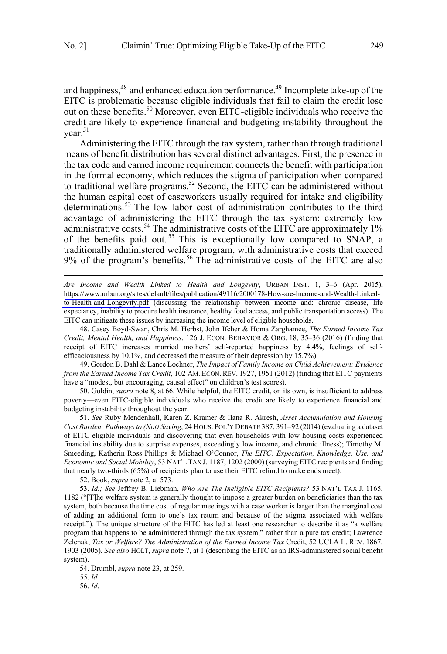$\overline{a}$ 

and happiness,<sup>48</sup> and enhanced education performance.<sup>49</sup> Incomplete take-up of the EITC is problematic because eligible individuals that fail to claim the credit lose out on these benefits.<sup>50</sup> Moreover, even EITC-eligible individuals who receive the credit are likely to experience financial and budgeting instability throughout the vear. $51$ 

Administering the EITC through the tax system, rather than through traditional means of benefit distribution has several distinct advantages. First, the presence in the tax code and earned income requirement connects the benefit with participation in the formal economy, which reduces the stigma of participation when compared to traditional welfare programs.<sup>52</sup> Second, the EITC can be administered without the human capital cost of caseworkers usually required for intake and eligibility determinations.<sup>53</sup> The low labor cost of administration contributes to the third advantage of administering the EITC through the tax system: extremely low administrative costs.<sup>54</sup> The administrative costs of the EITC are approximately 1% of the benefits paid out.<sup>55</sup> This is exceptionally low compared to SNAP, a traditionally administered welfare program, with administrative costs that exceed 9% of the program's benefits.<sup>56</sup> The administrative costs of the EITC are also

[https://www.urban.org/sites/default/files/publication/49116/2000178-How-are-Income-and-Wealth-Linked](https://www.urban.org/sites/default/files/publication/49116/2000178-How-are-Income-and-Wealth-Linked-to-Health-and-Longevity.pdf)[to-Health-and-Longevity.pdf](https://www.urban.org/sites/default/files/publication/49116/2000178-How-are-Income-and-Wealth-Linked-to-Health-and-Longevity.pdf) (discussing the relationship between income and: chronic disease, life expectancy, inability to procure health insurance, healthy food access, and public transportation access). The EITC can mitigate these issues by increasing the income level of eligible households. *Are Income and Wealth Linked to Health and Longevity*, URBAN INST. 1, 3–6 (Apr. 2015),

48. Casey Boyd-Swan, Chris M. Herbst, John Ifcher & Homa Zarghamee, *The Earned Income Tax Credit, Mental Health, and Happiness*, 126 J. ECON. BEHAVIOR & ORG. 18, 35–36 (2016) (finding that receipt of EITC increases married mothers' self-reported happiness by 4.4%, feelings of selfefficaciousness by 10.1%, and decreased the measure of their depression by 15.7%).

49. Gordon B. Dahl & Lance Lochner, *The Impact of Family Income on Child Achievement: Evidence from the Earned Income Tax Credit*, 102 AM. ECON. REV. 1927, 1951 (2012) (finding that EITC payments have a "modest, but encouraging, causal effect" on children's test scores).

50. Goldin, *supra* note 8, at 66. While helpful, the EITC credit, on its own, is insufficient to address poverty—even EITC-eligible individuals who receive the credit are likely to experience financial and budgeting instability throughout the year.

51. *See* Ruby Mendenhall, Karen Z. Kramer & Ilana R. Akresh, *Asset Accumulation and Housing Cost Burden: Pathways to (Not) Saving*, 24 HOUS. POL'Y DEBATE 387, 391–92 (2014) (evaluating a dataset of EITC-eligible individuals and discovering that even households with low housing costs experienced financial instability due to surprise expenses, exceedingly low income, and chronic illness); Timothy M. Smeeding, Katherin Ross Phillips & Michael O'Connor, *The EITC: Expectation, Knowledge, Use, and Economic and Social Mobility*, 53 NAT'L TAX J. 1187, 1202 (2000) (surveying EITC recipients and finding that nearly two-thirds (65%) of recipients plan to use their EITC refund to make ends meet).

52. Book, *supra* note 2, at 573.

53. *Id.; See* Jeffrey B. Liebman, *Who Are The Ineligible EITC Recipients?* 53 NAT'L TAX J. 1165, 1182 ("[T]he welfare system is generally thought to impose a greater burden on beneficiaries than the tax system, both because the time cost of regular meetings with a case worker is larger than the marginal cost of adding an additional form to one's tax return and because of the stigma associated with welfare receipt."). The unique structure of the EITC has led at least one researcher to describe it as "a welfare program that happens to be administered through the tax system," rather than a pure tax credit; Lawrence Zelenak, *Tax or Welfare? The Administration of the Earned Income Tax* Credit, 52 UCLA L. REV. 1867, 1903 (2005). *See also* HOLT, *supra* note 7, at 1 (describing the EITC as an IRS-administered social benefit system).

54. Drumbl, *supra* note 23, at 259.

55. *Id.*

56. *Id*.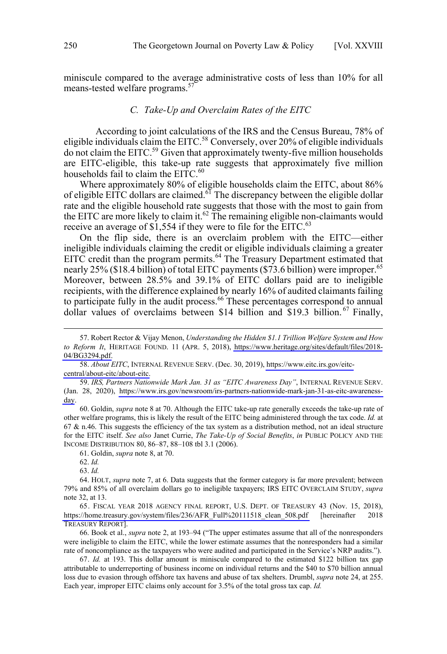<span id="page-7-0"></span>miniscule compared to the average administrative costs of less than 10% for all means-tested welfare programs.<sup>57</sup>

# *C. Take-Up and Overclaim Rates of the EITC*

According to joint calculations of the IRS and the Census Bureau, 78% of eligible individuals claim the EITC.<sup>58</sup> Conversely, over 20% of eligible individuals do not claim the EITC.59 Given that approximately twenty-five million households are EITC-eligible, this take-up rate suggests that approximately five million households fail to claim the EITC.<sup>60</sup>

Where approximately 80% of eligible households claim the EITC, about 86% of eligible EITC dollars are claimed.<sup>61</sup> The discrepancy between the eligible dollar rate and the eligible household rate suggests that those with the most to gain from the EITC are more likely to claim it.<sup>62</sup> The remaining eligible non-claimants would receive an average of  $$1,554$  if they were to file for the EITC.<sup>63</sup>

On the flip side, there is an overclaim problem with the EITC—either ineligible individuals claiming the credit or eligible individuals claiming a greater EITC credit than the program permits.<sup>64</sup> The Treasury Department estimated that nearly 25% (\$18.4 billion) of total EITC payments (\$73.6 billion) were improper.<sup>65</sup> Moreover, between 28.5% and 39.1% of EITC dollars paid are to ineligible recipients, with the difference explained by nearly 16% of audited claimants failing to participate fully in the audit process.<sup>66</sup> These percentages correspond to annual dollar values of overclaims between \$14 billion and \$19.3 billion. <sup>67</sup> Finally,

60. Goldin, *supra* note 8 at 70. Although the EITC take-up rate generally exceeds the take-up rate of other welfare programs, this is likely the result of the EITC being administered through the tax code. *Id.* at  $67$  & n.46. This suggests the efficiency of the tax system as a distribution method, not an ideal structure for the EITC itself. *See also* Janet Currie, *The Take-Up of Social Benefits*, *in* PUBLIC POLICY AND THE INCOME DISTRIBUTION 80, 86–87, 88–108 tbl 3.1 (2006).

61. Goldin, *supra* note 8, at 70.

<sup>57.</sup> Robert Rector & Vijay Menon, *Understanding the Hidden \$1.1 Trillion Welfare System and How to Reform It*, HERITAGE FOUND. 11 (APR. 5, 2018), [https://www.heritage.org/sites/default/files/2018-](https://www.heritage.org/sites/default/files/2018-04/BG3294.pdf) [04/BG3294.pdf.](https://www.heritage.org/sites/default/files/2018-04/BG3294.pdf)

<sup>58.</sup> About EITC, INTERNAL REVENUE SERV. (Dec. 30, 2019), [https://www.eitc.irs.gov/eitc](https://www.eitc.irs.gov/eitc-central/about-eitc/about-eitc)[central/about-eitc/about-eitc.](https://www.eitc.irs.gov/eitc-central/about-eitc/about-eitc)

*IRS, Partners Nationwide Mark Jan. 31 as "EITC Awareness Day"*, INTERNAL REVENUE SERV. 59. (Jan. 28, 2020), [https://www.irs.gov/newsroom/irs-partners-nationwide-mark-jan-31-as-eitc-awareness](https://www.irs.gov/newsroom/irs-partners-nationwide-mark-jan-31-as-eitc-awareness-day)[day](https://www.irs.gov/newsroom/irs-partners-nationwide-mark-jan-31-as-eitc-awareness-day).

<sup>62.</sup> *Id.*

<sup>63.</sup> *Id.*

<sup>64.</sup> HOLT, *supra* note 7, at 6. Data suggests that the former category is far more prevalent; between 79% and 85% of all overclaim dollars go to ineligible taxpayers; IRS EITC OVERCLAIM STUDY, *supra*  note 32, at 13.

<sup>65.</sup> FISCAL YEAR 2018 AGENCY FINAL REPORT, U.S. DEPT. OF TREASURY 43 (Nov. 15, 2018), [https://home.treasury.gov/system/files/236/AFR\\_Full%20111518\\_clean\\_508.pdf](https://home.treasury.gov/system/files/236/AFR_Full%20111518_clean_508.pdf) [hereinafter 2018 TREASURY REPORT].

<sup>66.</sup> Book et al., *supra* note 2, at 193–94 ("The upper estimates assume that all of the nonresponders were ineligible to claim the EITC, while the lower estimate assumes that the nonresponders had a similar rate of noncompliance as the taxpayers who were audited and participated in the Service's NRP audits.").

<sup>67.</sup> *Id.* at 193. This dollar amount is miniscule compared to the estimated \$122 billion tax gap attributable to underreporting of business income on individual returns and the \$40 to \$70 billion annual loss due to evasion through offshore tax havens and abuse of tax shelters. Drumbl, *supra* note 24, at 255. Each year, improper EITC claims only account for 3.5% of the total gross tax cap. *Id.*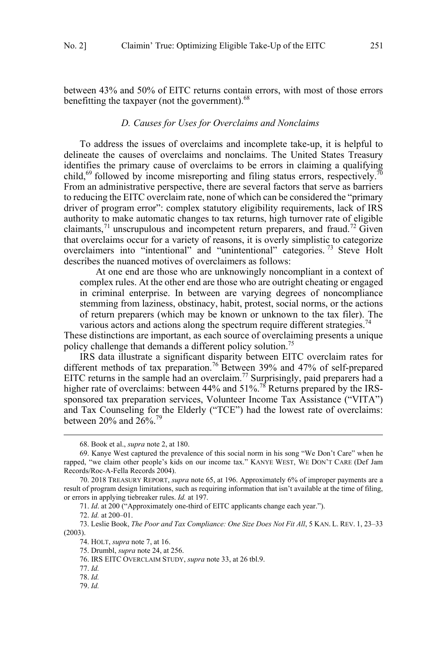<span id="page-8-0"></span>between 43% and 50% of EITC returns contain errors, with most of those errors benefitting the taxpayer (not the government). $68$ 

### *D. Causes for Uses for Overclaims and Nonclaims*

To address the issues of overclaims and incomplete take-up, it is helpful to delineate the causes of overclaims and nonclaims. The United States Treasury identifies the primary cause of overclaims to be errors in claiming a qualifying child,<sup>69</sup> followed by income misreporting and filing status errors, respectively.<sup>70</sup> From an administrative perspective, there are several factors that serve as barriers to reducing the EITC overclaim rate, none of which can be considered the "primary driver of program error": complex statutory eligibility requirements, lack of IRS authority to make automatic changes to tax returns, high turnover rate of eligible claimants,<sup>71</sup> unscrupulous and incompetent return preparers, and fraud.<sup>72</sup> Given that overclaims occur for a variety of reasons, it is overly simplistic to categorize overclaimers into "intentional" and "unintentional" categories. <sup>73</sup> Steve Holt describes the nuanced motives of overclaimers as follows:

At one end are those who are unknowingly noncompliant in a context of complex rules. At the other end are those who are outright cheating or engaged in criminal enterprise. In between are varying degrees of noncompliance stemming from laziness, obstinacy, habit, protest, social norms, or the actions of return preparers (which may be known or unknown to the tax filer). The various actors and actions along the spectrum require different strategies.<sup>74</sup>

These distinctions are important, as each source of overclaiming presents a unique policy challenge that demands a different policy solution.<sup>75</sup>

IRS data illustrate a significant disparity between EITC overclaim rates for different methods of tax preparation.<sup>76</sup> Between 39% and 47% of self-prepared EITC returns in the sample had an overclaim.<sup>77</sup> Surprisingly, paid preparers had a higher rate of overclaims: between 44% and  $51\%$ .<sup>78</sup> Returns prepared by the IRSsponsored tax preparation services, Volunteer Income Tax Assistance ("VITA") and Tax Counseling for the Elderly ("TCE") had the lowest rate of overclaims: between 20% and 26%.79

71. *Id*. at 200 ("Approximately one-third of EITC applicants change each year.").

72. *Id.* at 200–01.

73. Leslie Book, *The Poor and Tax Compliance: One Size Does Not Fit All*, 5 KAN. L. REV. 1, 23–33 (2003).

<sup>68.</sup> Book et al., *supra* note 2, at 180.

<sup>69.</sup> Kanye West captured the prevalence of this social norm in his song "We Don't Care" when he rapped, "we claim other people's kids on our income tax." KANYE WEST, WE DON'T CARE (Def Jam Records/Roc-A-Fella Records 2004).

<sup>70. 2018</sup> TREASURY REPORT, *supra* note 65, at 196. Approximately 6% of improper payments are a result of program design limitations, such as requiring information that isn't available at the time of filing, or errors in applying tiebreaker rules. *Id.* at 197.

<sup>74.</sup> HOLT, *supra* note 7, at 16.

<sup>75.</sup> Drumbl, *supra* note 24, at 256.

<sup>76.</sup> IRS EITC OVERCLAIM STUDY, *supra* note 33, at 26 tbl.9.

<sup>77.</sup> *Id.*

<sup>78.</sup> *Id.* 

<sup>79.</sup> *Id.*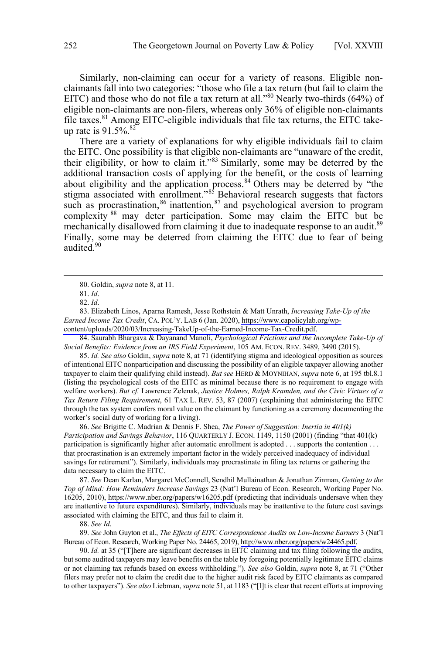Similarly, non-claiming can occur for a variety of reasons. Eligible nonclaimants fall into two categories: "those who file a tax return (but fail to claim the EITC) and those who do not file a tax return at all."<sup>80</sup> Nearly two-thirds (64%) of eligible non-claimants are non-filers, whereas only 36% of eligible non-claimants file taxes.<sup>81</sup> Among EITC-eligible individuals that file tax returns, the EITC takeup rate is  $91.5\%$ .<sup>82</sup>

There are a variety of explanations for why eligible individuals fail to claim the EITC. One possibility is that eligible non-claimants are "unaware of the credit, their eligibility, or how to claim it." $83$  Similarly, some may be deterred by the additional transaction costs of applying for the benefit, or the costs of learning about eligibility and the application process.<sup>84</sup> Others may be deterred by "the stigma associated with enrollment."<sup>85</sup> Behavioral research suggests that factors such as procrastination,  $86$  inattention,  $87$  and psychological aversion to program complexity <sup>88</sup> may deter participation. Some may claim the EITC but be mechanically disallowed from claiming it due to inadequate response to an audit.<sup>89</sup> Finally, some may be deterred from claiming the EITC due to fear of being audited.<sup>90</sup>

 $\overline{a}$ 

 [content/uploads/2020/03/Increasing-TakeUp-of-the-Earned-Income-Tax-Credit.pdf.](https://www.capolicylab.org/wp-content/uploads/2020/03/Increasing-TakeUp-of-the-Earned-Income-Tax-Credit.pdf) Elizabeth Linos, Aparna Ramesh, Jesse Rothstein & Matt Unrath, *Increasing Take-Up of the*  83. *Earned Income Tax Credit*, CA. POL'Y. LAB 6 (Jan. 2020), [https://www.capolicylab.org/wp-](https://www.capolicylab.org/wp-content/uploads/2020/03/Increasing-TakeUp-of-the-Earned-Income-Tax-Credit.pdf)

84. Saurabh Bhargava & Dayanand Manoli, *Psychological Frictions and the Incomplete Take-Up of Social Benefits: Evidence from an IRS Field Experiment*, 105 AM. ECON. REV. 3489, 3490 (2015).

85. *Id. See also* Goldin, *supra* note 8, at 71 (identifying stigma and ideological opposition as sources of intentional EITC nonparticipation and discussing the possibility of an eligible taxpayer allowing another taxpayer to claim their qualifying child instead). *But see* HERD & MOYNIHAN, *supra* note 6, at 195 tbl.8.1 (listing the psychological costs of the EITC as minimal because there is no requirement to engage with welfare workers). *But cf.* Lawrence Zelenak, *Justice Holmes, Ralph Kramden, and the Civic Virtues of a Tax Return Filing Requirement*, 61 TAX L. REV. 53, 87 (2007) (explaining that administering the EITC through the tax system confers moral value on the claimant by functioning as a ceremony documenting the worker's social duty of working for a living).

86. *See* Brigitte C. Madrian & Dennis F. Shea, *The Power of Suggestion: Inertia in 401(k) Participation and Savings Behavior*, 116 QUARTERLY J. ECON. 1149, 1150 (2001) (finding "that 401(k) participation is significantly higher after automatic enrollment is adopted . . . supports the contention . . . that procrastination is an extremely important factor in the widely perceived inadequacy of individual savings for retirement"). Similarly, individuals may procrastinate in filing tax returns or gathering the data necessary to claim the EITC.

*See* Dean Karlan, Margaret McConnell, Sendhil Mullainathan & Jonathan Zinman, *Getting to the*  87. *Top of Mind: How Reminders Increase Savings* 23 (Nat'l Bureau of Econ. Research, Working Paper No. 16205, 2010),<https://www.nber.org/papers/w16205.pdf>(predicting that individuals undersave when they are inattentive to future expenditures). Similarly, individuals may be inattentive to the future cost savings associated with claiming the EITC, and thus fail to claim it.

88. *See Id*.

*See* John Guyton et al., *The Effects of EITC Correspondence Audits on Low-Income Earners* 3 (Nat'l 89. Bureau of Econ. Research, Working Paper No. 24465, 2019), [http://www.nber.org/papers/w24465.pdf.](http://www.nber.org/papers/w24465.pdf)

90. *Id.* at 35 ("[T]here are significant decreases in EITC claiming and tax filing following the audits, but some audited taxpayers may leave benefits on the table by foregoing potentially legitimate EITC claims or not claiming tax refunds based on excess withholding."). *See also* Goldin, *supra* note 8, at 71 ("Other filers may prefer not to claim the credit due to the higher audit risk faced by EITC claimants as compared to other taxpayers"). *See also* Liebman, *supra* note 51, at 1183 ("[I]t is clear that recent efforts at improving

<sup>80.</sup> Goldin, *supra* note 8, at 11.

<sup>81.</sup> *Id*.

<sup>82.</sup> *Id*.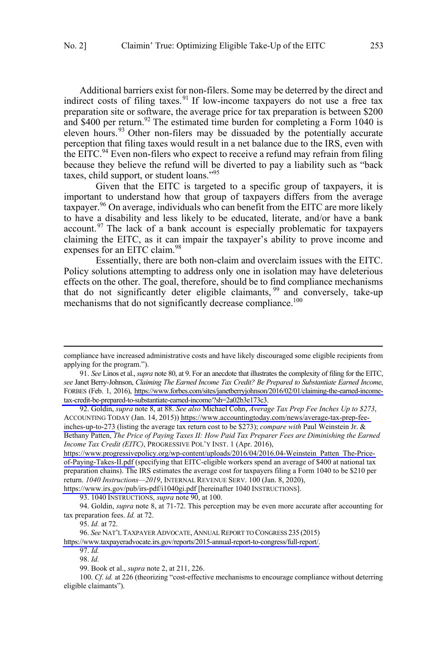Additional barriers exist for non-filers. Some may be deterred by the direct and indirect costs of filing taxes.<sup>91</sup> If low-income taxpayers do not use a free tax preparation site or software, the average price for tax preparation is between \$200 and \$400 per return.<sup>92</sup> The estimated time burden for completing a Form 1040 is eleven hours.<sup>93</sup> Other non-filers may be dissuaded by the potentially accurate perception that filing taxes would result in a net balance due to the IRS, even with the EITC.<sup>94</sup> Even non-filers who expect to receive a refund may refrain from filing because they believe the refund will be diverted to pay a liability such as "back taxes, child support, or student loans."<sup>95</sup>

Given that the EITC is targeted to a specific group of taxpayers, it is important to understand how that group of taxpayers differs from the average taxpayer.<sup>96</sup> On average, individuals who can benefit from the EITC are more likely to have a disability and less likely to be educated, literate, and/or have a bank account.<sup>97</sup> The lack of a bank account is especially problematic for taxpayers claiming the EITC, as it can impair the taxpayer's ability to prove income and expenses for an EITC claim.<sup>98</sup>

Essentially, there are both non-claim and overclaim issues with the EITC. Policy solutions attempting to address only one in isolation may have deleterious effects on the other. The goal, therefore, should be to find compliance mechanisms that do not significantly deter eligible claimants, <sup>99</sup> and conversely, take-up mechanisms that do not significantly decrease compliance.<sup>100</sup>

 $\overline{a}$ 

compliance have increased administrative costs and have likely discouraged some eligible recipients from applying for the program.").

 [tax-credit-be-prepared-to-substantiate-earned-income/?sh=2a02b3e173c3.](https://www.forbes.com/sites/janetberryjohnson/2016/02/01/claiming-the-earned-income-tax-credit-be-prepared-to-substantiate-earned-income/?sh=2a02b3e173c3) *See* Linos et al., *supra* note 80, at 9. For an anecdote that illustrates the complexity of filing for the EITC, 91. *see* Janet Berry-Johnson, *Claiming The Earned Income Tax Credit? Be Prepared to Substantiate Earned Income*, FORBES (Feb. 1, 2016), [https://www.forbes.com/sites/janetberryjohnson/2016/02/01/claiming-the-earned-income-](https://www.forbes.com/sites/janetberryjohnson/2016/02/01/claiming-the-earned-income-tax-credit-be-prepared-to-substantiate-earned-income/?sh=2a02b3e173c3)

Goldin, *supra* note 8, at 88. *See also* Michael Cohn, *Average Tax Prep Fee Inches Up to \$273*, 92. ACCOUNTING TODAY (Jan. 14, 2015)) [https://www.accountingtoday.com/news/average-tax-prep-fee](https://www.accountingtoday.com/news/average-tax-prep-fee-inches-up-to-273)[inches-up-to-273](https://www.accountingtoday.com/news/average-tax-prep-fee-inches-up-to-273) (listing the average tax return cost to be \$273); *compare with* Paul Weinstein Jr. & Bethany Patten, *The Price of Paying Taxes II: How Paid Tax Preparer Fees are Diminishing the Earned Income Tax Credit (EITC)*, PROGRESSIVE POL'Y INST. 1 (Apr. 2016),

[https://www.progressivepolicy.org/wp-content/uploads/2016/04/2016.04-Weinstein\\_Patten\\_The-Price](https://www.progressivepolicy.org/wp-content/uploads/2016/04/2016.04-Weinstein_Patten_The-Price-of-Paying-Takes-II.pdf)[of-Paying-Takes-II.pdf](https://www.progressivepolicy.org/wp-content/uploads/2016/04/2016.04-Weinstein_Patten_The-Price-of-Paying-Takes-II.pdf) (specifying that EITC-eligible workers spend an average of \$400 at national tax preparation chains). The IRS estimates the average cost for taxpayers filing a Form 1040 to be \$210 per return. *1040 Instructions—2019*, INTERNAL REVENUE SERV. 100 (Jan. 8, 2020),

<https://www.irs.gov/pub/irs-pdf/i1040gi.pdf>[hereinafter 1040 INSTRUCTIONS].

<sup>93. 1040</sup> INSTRUCTIONS, *supra* note 90, at 100.

<sup>94.</sup> Goldin, *supra* note 8, at 71-72. This perception may be even more accurate after accounting for tax preparation fees. *Id.* at 72.

<sup>95.</sup> *Id.* at 72.

*See* NAT'L TAXPAYER ADVOCATE, ANNUAL REPORT TO CONGRESS 235 (2015) 96.

[https://www.taxpayeradvocate.irs.gov/reports/2015-annual-report-to-congress/full-report/.](https://www.taxpayeradvocate.irs.gov/reports/2015-annual-report-to-congress/full-report/)

<sup>97.</sup> *Id.*  98. *Id.*

<sup>99.</sup> Book et al., *supra* note 2, at 211, 226.

<sup>100.</sup> *Cf*. *id.* at 226 (theorizing "cost-effective mechanisms to encourage compliance without deterring eligible claimants").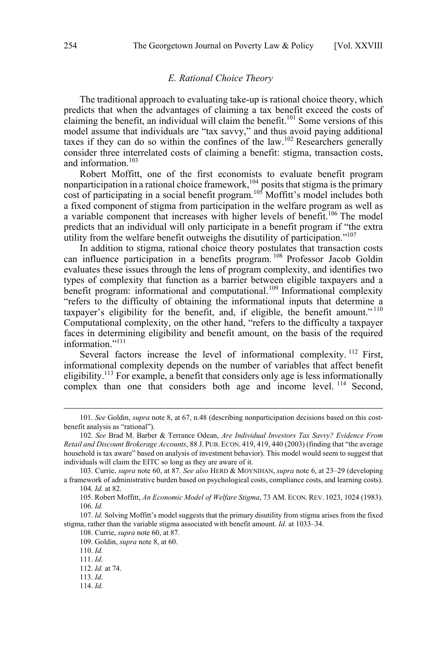#### *E. Rational Choice Theory*

<span id="page-11-0"></span>The traditional approach to evaluating take-up is rational choice theory, which predicts that when the advantages of claiming a tax benefit exceed the costs of claiming the benefit, an individual will claim the benefit.<sup>101</sup> Some versions of this model assume that individuals are "tax savvy," and thus avoid paying additional taxes if they can do so within the confines of the law.<sup>102</sup> Researchers generally consider three interrelated costs of claiming a benefit: stigma, transaction costs, and information.<sup>103</sup>

Robert Moffitt, one of the first economists to evaluate benefit program nonparticipation in a rational choice framework,  $104$  posits that stigma is the primary cost of participating in a social benefit program.<sup>105</sup> Moffitt's model includes both a fixed component of stigma from participation in the welfare program as well as a variable component that increases with higher levels of benefit.<sup>106</sup> The model predicts that an individual will only participate in a benefit program if "the extra utility from the welfare benefit outweighs the disutility of participation."<sup>107</sup>

In addition to stigma, rational choice theory postulates that transaction costs can influence participation in a benefits program.<sup>108</sup> Professor Jacob Goldin evaluates these issues through the lens of program complexity, and identifies two types of complexity that function as a barrier between eligible taxpayers and a benefit program: informational and computational.<sup>109</sup> Informational complexity "refers to the difficulty of obtaining the informational inputs that determine a taxpayer's eligibility for the benefit, and, if eligible, the benefit amount." <sup>110</sup> Computational complexity, on the other hand, "refers to the difficulty a taxpayer faces in determining eligibility and benefit amount, on the basis of the required information."<sup>111</sup>

Several factors increase the level of informational complexity. <sup>112</sup> First, informational complexity depends on the number of variables that affect benefit eligibility.<sup>113</sup> For example, a benefit that considers only age is less informationally complex than one that considers both age and income level. <sup>114</sup> Second,

<sup>101.</sup>  *See* Goldin, *supra* note 8, at 67, n.48 (describing nonparticipation decisions based on this costbenefit analysis as "rational").

<sup>102.</sup> *See* Brad M. Barber & Terrance Odean, *Are Individual Investors Tax Savvy? Evidence From Retail and Discount Brokerage Accounts*, 88 J. PUB. ECON. 419, 419, 440 (2003) (finding that "the average household is tax aware" based on analysis of investment behavior). This model would seem to suggest that individuals will claim the EITC so long as they are aware of it.

<sup>103.</sup> Currie, *supra* note 60, at 87. *See also* HERD & MOYNIHAN, *supra* note 6, at 23–29 (developing a framework of administrative burden based on psychological costs, compliance costs, and learning costs). 104. *Id.* at 82.

<sup>105.</sup> Robert Moffitt, *An Economic Model of Welfare Stigma*, 73 AM. ECON. REV. 1023, 1024 (1983). 106. *Id.* 

<sup>107.</sup> *Id.* Solving Moffitt's model suggests that the primary disutility from stigma arises from the fixed stigma, rather than the variable stigma associated with benefit amount. *Id.* at 1033–34.

<sup>108.</sup> Currie, *supra* note 60, at 87.

<sup>109.</sup> Goldin, *supra* note 8, at 60.

<sup>110.</sup> *Id.*

<sup>111.</sup> *Id*.

<sup>112.</sup> *Id.* at 74.

<sup>113.</sup> *Id*.

<sup>114.</sup> *Id*.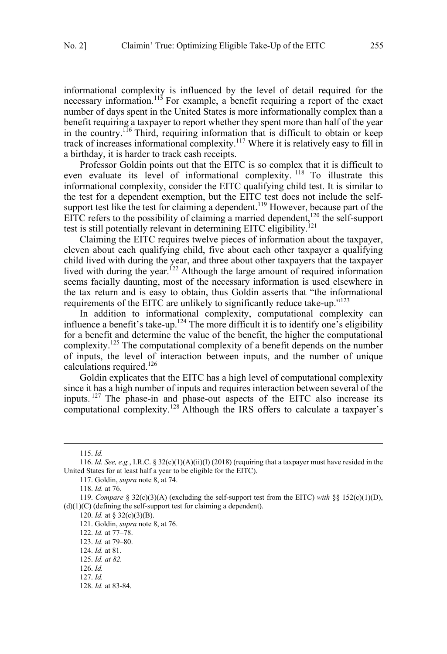informational complexity is influenced by the level of detail required for the necessary information.<sup>115</sup> For example, a benefit requiring a report of the exact number of days spent in the United States is more informationally complex than a benefit requiring a taxpayer to report whether they spent more than half of the year in the country.<sup>116</sup> Third, requiring information that is difficult to obtain or keep track of increases informational complexity.<sup>117</sup> Where it is relatively easy to fill in a birthday, it is harder to track cash receipts.

Professor Goldin points out that the EITC is so complex that it is difficult to even evaluate its level of informational complexity. <sup>118</sup> To illustrate this informational complexity, consider the EITC qualifying child test. It is similar to the test for a dependent exemption, but the EITC test does not include the selfsupport test like the test for claiming a dependent.<sup>119</sup> However, because part of the EITC refers to the possibility of claiming a married dependent,<sup>120</sup> the self-support test is still potentially relevant in determining EITC eligibility.<sup>121</sup>

Claiming the EITC requires twelve pieces of information about the taxpayer, eleven about each qualifying child, five about each other taxpayer a qualifying child lived with during the year, and three about other taxpayers that the taxpayer lived with during the year.<sup>122</sup> Although the large amount of required information seems facially daunting, most of the necessary information is used elsewhere in the tax return and is easy to obtain, thus Goldin asserts that "the informational requirements of the EITC are unlikely to significantly reduce take-up."<sup>123</sup>

In addition to informational complexity, computational complexity can influence a benefit's take-up.<sup>124</sup> The more difficult it is to identify one's eligibility for a benefit and determine the value of the benefit, the higher the computational complexity.<sup>125</sup> The computational complexity of a benefit depends on the number of inputs, the level of interaction between inputs, and the number of unique calculations required.<sup>126</sup>

Goldin explicates that the EITC has a high level of computational complexity since it has a high number of inputs and requires interaction between several of the inputs. <sup>127</sup> The phase-in and phase-out aspects of the EITC also increase its computational complexity.<sup>128</sup> Although the IRS offers to calculate a taxpayer's

<sup>115.</sup>  *Id.*

<sup>116.</sup> *Id. See, e.g.*, I.R.C. § 32(c)(1)(A)(ii)(I) (2018) (requiring that a taxpayer must have resided in the United States for at least half a year to be eligible for the EITC).

<sup>117.</sup> Goldin, *supra* note 8, at 74.

<sup>118.</sup> *Id.* at 76.

<sup>119.</sup> *Compare* § 32(c)(3)(A) (excluding the self-support test from the EITC) *with* §§ 152(c)(1)(D), (d)(1)(C) (defining the self-support test for claiming a dependent).

<sup>120.</sup> *Id.* at § 32(c)(3)(B).

<sup>121.</sup> Goldin, *supra* note 8, at 76.

<sup>122.</sup> *Id.* at 77–78.

<sup>123.</sup> *Id.* at 79–80.

<sup>124.</sup> *Id.* at 81.

<sup>125.</sup> *Id. at 82.*

<sup>126.</sup> *Id.*

<sup>127.</sup> *Id.* 

<sup>128.</sup> *Id.* at 83-84.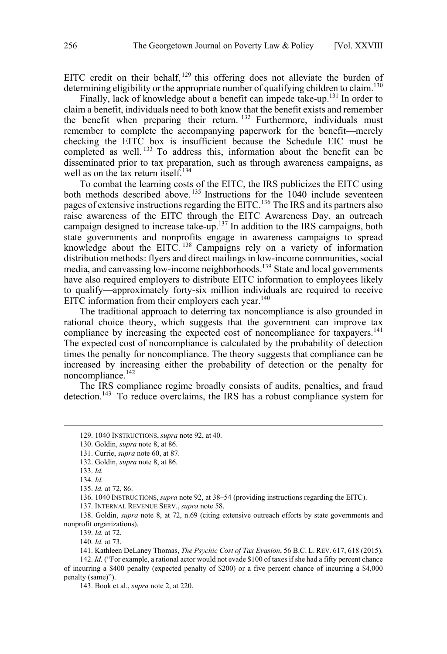EITC credit on their behalf,  $129$  this offering does not alleviate the burden of determining eligibility or the appropriate number of qualifying children to claim.<sup>130</sup>

Finally, lack of knowledge about a benefit can impede take-up.<sup>131</sup> In order to claim a benefit, individuals need to both know that the benefit exists and remember the benefit when preparing their return.  $132$  Furthermore, individuals must remember to complete the accompanying paperwork for the benefit—merely checking the EITC box is insufficient because the Schedule EIC must be completed as well. <sup>133</sup> To address this, information about the benefit can be disseminated prior to tax preparation, such as through awareness campaigns, as well as on the tax return itself.<sup>134</sup>

To combat the learning costs of the EITC, the IRS publicizes the EITC using both methods described above.<sup>135</sup> Instructions for the 1040 include seventeen pages of extensive instructions regarding the EITC.<sup>136</sup> The IRS and its partners also raise awareness of the EITC through the EITC Awareness Day, an outreach campaign designed to increase take-up.<sup>137</sup> In addition to the IRS campaigns, both state governments and nonprofits engage in awareness campaigns to spread knowledge about the EITC.<sup>138</sup> Campaigns rely on a variety of information distribution methods: flyers and direct mailings in low-income communities, social media, and canvassing low-income neighborhoods.<sup>139</sup> State and local governments have also required employers to distribute EITC information to employees likely to qualify—approximately forty-six million individuals are required to receive EITC information from their employers each year. $140$ 

The traditional approach to deterring tax noncompliance is also grounded in rational choice theory, which suggests that the government can improve tax compliance by increasing the expected cost of noncompliance for taxpayers.<sup>141</sup> The expected cost of noncompliance is calculated by the probability of detection times the penalty for noncompliance. The theory suggests that compliance can be increased by increasing either the probability of detection or the penalty for noncompliance.142

The IRS compliance regime broadly consists of audits, penalties, and fraud detection.<sup>143</sup> To reduce overclaims, the IRS has a robust compliance system for

132. Goldin, *supra* note 8, at 86.

137. INTERNAL REVENUE SERV., *supra* note 58.

138. Goldin, *supra* note 8, at 72, n.69 (citing extensive outreach efforts by state governments and nonprofit organizations).

139. *Id.* at 72.

140. *Id.* at 73.

142. *Id.* ("For example, a rational actor would not evade \$100 of taxes if she had a fifty percent chance of incurring a \$400 penalty (expected penalty of \$200) or a five percent chance of incurring a \$4,000 penalty (same)").

143. Book et al., *supra* note 2, at 220.

<sup>129. 1</sup> 040 INSTRUCTIONS, *supra* note 92, at 40.

<sup>130.</sup> Goldin, *supra* note 8, at 86.

<sup>131.</sup> Currie, *supra* note 60, at 87.

<sup>133.</sup> *Id.* 

<sup>134.</sup> *Id.* 

<sup>135.</sup> *Id.* at 72, 86.

<sup>136. 1040</sup> INSTRUCTIONS, *supra* note 92, at 38–54 (providing instructions regarding the EITC).

<sup>141.</sup> Kathleen DeLaney Thomas, *The Psychic Cost of Tax Evasion*, 56 B.C. L. REV. 617, 618 (2015).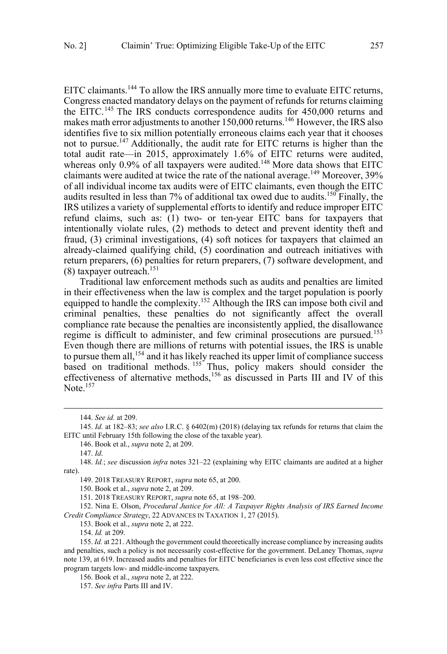EITC claimants.144 To allow the IRS annually more time to evaluate EITC returns, Congress enacted mandatory delays on the payment of refunds for returns claiming the EITC.<sup>145</sup> The IRS conducts correspondence audits for 450,000 returns and makes math error adjustments to another 150,000 returns.<sup>146</sup> However, the IRS also identifies five to six million potentially erroneous claims each year that it chooses not to pursue.<sup>147</sup> Additionally, the audit rate for EITC returns is higher than the total audit rate—in 2015, approximately 1.6% of EITC returns were audited, whereas only  $0.9\%$  of all taxpayers were audited.<sup>148</sup> More data shows that EITC claimants were audited at twice the rate of the national average.<sup>149</sup> Moreover, 39% of all individual income tax audits were of EITC claimants, even though the EITC audits resulted in less than  $7\%$  of additional tax owed due to audits.<sup>150</sup> Finally, the IRS utilizes a variety of supplemental efforts to identify and reduce improper EITC refund claims, such as: (1) two- or ten-year EITC bans for taxpayers that intentionally violate rules, (2) methods to detect and prevent identity theft and fraud, (3) criminal investigations, (4) soft notices for taxpayers that claimed an already-claimed qualifying child, (5) coordination and outreach initiatives with return preparers, (6) penalties for return preparers, (7) software development, and  $(8)$  taxpayer outreach.<sup>151</sup>

Traditional law enforcement methods such as audits and penalties are limited in their effectiveness when the law is complex and the target population is poorly equipped to handle the complexity.<sup>152</sup> Although the IRS can impose both civil and criminal penalties, these penalties do not significantly affect the overall compliance rate because the penalties are inconsistently applied, the disallowance regime is difficult to administer, and few criminal prosecutions are pursued.<sup>153</sup> Even though there are millions of returns with potential issues, the IRS is unable to pursue them all,<sup>154</sup> and it has likely reached its upper limit of compliance success based on traditional methods. <sup>155</sup> Thus, policy makers should consider the effectiveness of alternative methods,<sup>156</sup> as discussed in Parts III and IV of this Note. $157$ 

 $\overline{a}$ 

152. Nina E. Olson, *Procedural Justice for All: A Taxpayer Rights Analysis of IRS Earned Income Credit Compliance Strategy*, 22 ADVANCES IN TAXATION 1, 27 (2015).

153. Book et al., *supra* note 2, at 222.

154. *Id.* at 209.

 <sup>144.</sup> *See id.* at 209.

<sup>145.</sup> *Id.* at 182–83; *see also* I.R.C. § 6402(m) (2018) (delaying tax refunds for returns that claim the EITC until February 15th following the close of the taxable year).

<sup>146.</sup> Book et al., *supra* note 2, at 209.

<sup>147.</sup> *Id*.

<sup>148.</sup> *Id.*; *see* discussion *infra* notes 321–22 (explaining why EITC claimants are audited at a higher rate).

<sup>149. 2018</sup> TREASURY REPORT, *supra* note 65, at 200.

<sup>150.</sup> Book et al., *supra* note 2, at 209.

<sup>151. 2018</sup> TREASURY REPORT, *supra* note 65, at 198–200.

<sup>155.</sup> *Id.* at 221. Although the government could theoretically increase compliance by increasing audits and penalties, such a policy is not necessarily cost-effective for the government. DeLaney Thomas, *supra*  note 139, at 619. Increased audits and penalties for EITC beneficiaries is even less cost effective since the program targets low- and middle-income taxpayers.

<sup>156.</sup> Book et al., *supra* note 2, at 222.

<sup>157.</sup> *See infra* Parts III and IV.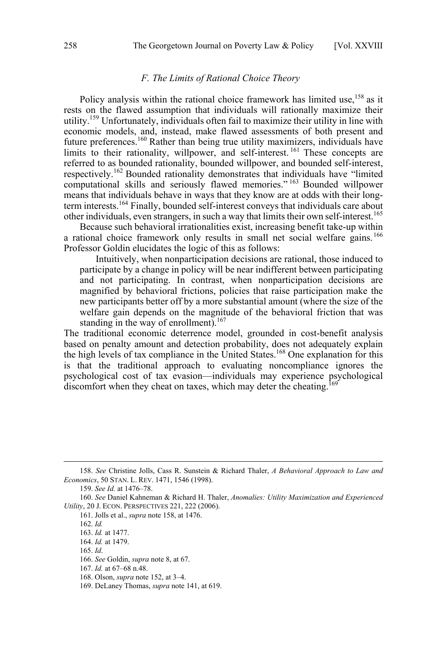# *F. The Limits of Rational Choice Theory*

<span id="page-15-0"></span>Policy analysis within the rational choice framework has limited use,<sup>158</sup> as it rests on the flawed assumption that individuals will rationally maximize their utility.<sup>159</sup> Unfortunately, individuals often fail to maximize their utility in line with economic models, and, instead, make flawed assessments of both present and future preferences.<sup>160</sup> Rather than being true utility maximizers, individuals have limits to their rationality, willpower, and self-interest.<sup>161</sup> These concepts are referred to as bounded rationality, bounded willpower, and bounded self-interest, respectively.<sup>162</sup> Bounded rationality demonstrates that individuals have "limited computational skills and seriously flawed memories." <sup>163</sup> Bounded willpower means that individuals behave in ways that they know are at odds with their longterm interests.164 Finally, bounded self-interest conveys that individuals care about other individuals, even strangers, in such a way that limits their own self-interest.<sup>165</sup>

Because such behavioral irrationalities exist, increasing benefit take-up within a rational choice framework only results in small net social welfare gains.<sup>166</sup> Professor Goldin elucidates the logic of this as follows:

Intuitively, when nonparticipation decisions are rational, those induced to participate by a change in policy will be near indifferent between participating and not participating. In contrast, when nonparticipation decisions are magnified by behavioral frictions, policies that raise participation make the new participants better off by a more substantial amount (where the size of the welfare gain depends on the magnitude of the behavioral friction that was standing in the way of enrollment).<sup>167</sup>

The traditional economic deterrence model, grounded in cost-benefit analysis based on penalty amount and detection probability, does not adequately explain the high levels of tax compliance in the United States.<sup>168</sup> One explanation for this is that the traditional approach to evaluating noncompliance ignores the psychological cost of tax evasion—individuals may experience psychological discomfort when they cheat on taxes, which may deter the cheating.<sup>169</sup>

 <sup>158.</sup> *See* Christine Jolls, Cass R. Sunstein & Richard Thaler, *A Behavioral Approach to Law and Economics*, 50 STAN. L. REV. 1471, 1546 (1998).

<sup>159.</sup> *See Id.* at 1476–78.

<sup>160.</sup> *See* Daniel Kahneman & Richard H. Thaler, *Anomalies: Utility Maximization and Experienced Utility*, 20 J. ECON. PERSPECTIVES 221, 222 (2006).

<sup>161.</sup> Jolls et al., *supra* note 158, at 1476.

<sup>162.</sup> *Id.*

<sup>163.</sup> *Id.* at 1477.

<sup>164.</sup> *Id.* at 1479.

<sup>165.</sup> *Id*.

<sup>166.</sup> *See* Goldin, *supra* note 8, at 67.

<sup>167.</sup> *Id.* at 67–68 n.48.

<sup>168.</sup> Olson, *supra* note 152, at 3–4.

<sup>169.</sup> DeLaney Thomas, *supra* note 141, at 619.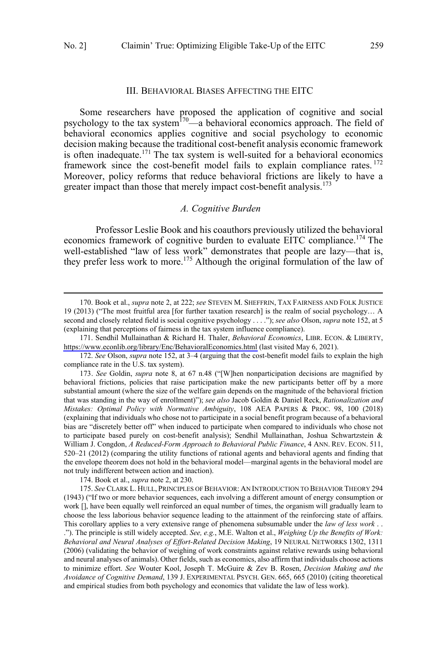#### III. BEHAVIORAL BIASES AFFECTING THE EITC

<span id="page-16-0"></span>Some researchers have proposed the application of cognitive and social psychology to the tax system<sup>170—</sup>a behavioral economics approach. The field of behavioral economics applies cognitive and social psychology to economic decision making because the traditional cost-benefit analysis economic framework is often inadequate.<sup>171</sup> The tax system is well-suited for a behavioral economics framework since the cost-benefit model fails to explain compliance rates.<sup>172</sup> Moreover, policy reforms that reduce behavioral frictions are likely to have a greater impact than those that merely impact cost-benefit analysis.<sup>173</sup>

## *A. Cognitive Burden*

Professor Leslie Book and his coauthors previously utilized the behavioral economics framework of cognitive burden to evaluate EITC compliance.<sup>174</sup> The well-established "law of less work" demonstrates that people are lazy—that is, they prefer less work to more.<sup>175</sup> Although the original formulation of the law of

 $\overline{a}$ 

174. Book et al., *supra* note 2, at 230.

175. *See* CLARK L. HULL, PRINCIPLES OF BEHAVIOR: AN INTRODUCTION TO BEHAVIOR THEORY 294 (1943) ("If two or more behavior sequences, each involving a different amount of energy consumption or work [], have been equally well reinforced an equal number of times, the organism will gradually learn to choose the less laborious behavior sequence leading to the attainment of the reinforcing state of affairs. This corollary applies to a very extensive range of phenomena subsumable under the *law of less work* . . ."). The principle is still widely accepted. *See, e.g.*, M.E. Walton et al., *Weighing Up the Benefits of Work: Behavioral and Neural Analyses of Effort-Related Decision Making*, 19 NEURAL NETWORKS 1302, 1311 (2006) (validating the behavior of weighing of work constraints against relative rewards using behavioral and neural analyses of animals). Other fields, such as economics, also affirm that individuals choose actions to minimize effort. *See* Wouter Kool, Joseph T. McGuire & Zev B. Rosen, *Decision Making and the Avoidance of Cognitive Demand*, 139 J. EXPERIMENTAL PSYCH. GEN. 665, 665 (2010) (citing theoretical and empirical studies from both psychology and economics that validate the law of less work).

 <sup>170.</sup> Book et al., *supra* note 2, at 222; *see* STEVEN M. SHEFFRIN, TAX FAIRNESS AND FOLK JUSTICE 19 (2013) ("The most fruitful area [for further taxation research] is the realm of social psychology… A second and closely related field is social cognitive psychology . . . ."); *see also* Olson, *supra* note 152, at 5 (explaining that perceptions of fairness in the tax system influence compliance).

<sup>171.</sup> Sendhil Mullainathan & Richard H. Thaler, *Behavioral Economics*, LIBR. ECON. & LIBERTY, <https://www.econlib.org/library/Enc/BehavioralEconomics.html>(last visited May 6, 2021).

<sup>172.</sup> *See* Olson, *supra* note 152, at 3–4 (arguing that the cost-benefit model fails to explain the high compliance rate in the U.S. tax system).

<sup>173.</sup> *See* Goldin, *supra* note 8, at 67 n.48 ("[W]hen nonparticipation decisions are magnified by behavioral frictions, policies that raise participation make the new participants better off by a more substantial amount (where the size of the welfare gain depends on the magnitude of the behavioral friction that was standing in the way of enrollment)"); *see also* Jacob Goldin & Daniel Reck, *Rationalization and Mistakes: Optimal Policy with Normative Ambiguity*, 108 AEA PAPERS & PROC. 98, 100 (2018) (explaining that individuals who chose not to participate in a social benefit program because of a behavioral bias are "discretely better off" when induced to participate when compared to individuals who chose not to participate based purely on cost-benefit analysis); Sendhil Mullainathan, Joshua Schwartzstein & William J. Congdon, *A Reduced-Form Approach to Behavioral Public Finance*, 4 ANN. REV. ECON. 511, 520–21 (2012) (comparing the utility functions of rational agents and behavioral agents and finding that the envelope theorem does not hold in the behavioral model—marginal agents in the behavioral model are not truly indifferent between action and inaction).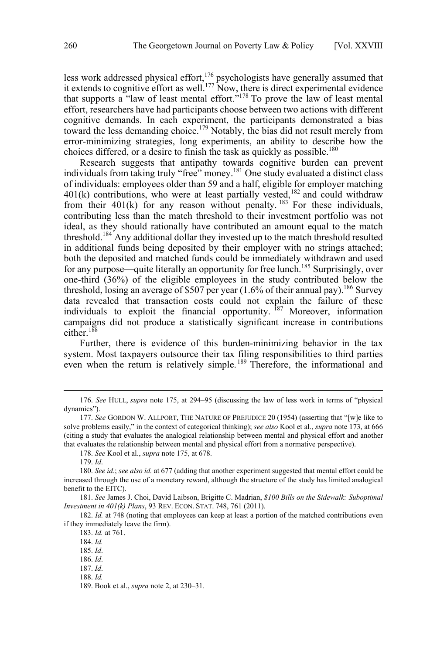less work addressed physical effort,<sup>176</sup> psychologists have generally assumed that it extends to cognitive effort as well.<sup>177</sup> Now, there is direct experimental evidence that supports a "law of least mental effort."<sup>178</sup> To prove the law of least mental effort, researchers have had participants choose between two actions with different cognitive demands. In each experiment, the participants demonstrated a bias toward the less demanding choice.<sup>179</sup> Notably, the bias did not result merely from error-minimizing strategies, long experiments, an ability to describe how the choices differed, or a desire to finish the task as quickly as possible.<sup>180</sup>

Research suggests that antipathy towards cognitive burden can prevent individuals from taking truly "free" money.181 One study evaluated a distinct class of individuals: employees older than 59 and a half, eligible for employer matching 401(k) contributions, who were at least partially vested,<sup>182</sup> and could withdraw from their 401(k) for any reason without penalty.  $183$  For these individuals, contributing less than the match threshold to their investment portfolio was not ideal, as they should rationally have contributed an amount equal to the match threshold.<sup>184</sup> Any additional dollar they invested up to the match threshold resulted in additional funds being deposited by their employer with no strings attached; both the deposited and matched funds could be immediately withdrawn and used for any purpose—quite literally an opportunity for free lunch.<sup>185</sup> Surprisingly, over one-third (36%) of the eligible employees in the study contributed below the threshold, losing an average of \$507 per year  $(1.6\%$  of their annual pay).<sup>186</sup> Survey data revealed that transaction costs could not explain the failure of these individuals to exploit the financial opportunity.  $187$  Moreover, information campaigns did not produce a statistically significant increase in contributions either. $188$ 

Further, there is evidence of this burden-minimizing behavior in the tax system. Most taxpayers outsource their tax filing responsibilities to third parties even when the return is relatively simple. <sup>189</sup> Therefore, the informational and

 <sup>176.</sup> *See* HULL, *supra* note 175, at 294–95 (discussing the law of less work in terms of "physical dynamics").

<sup>177.</sup> *See* GORDON W. ALLPORT, THE NATURE OF PREJUDICE 20 (1954) (asserting that "[w]e like to solve problems easily," in the context of categorical thinking); *see also* Kool et al., *supra* note 173, at 666 (citing a study that evaluates the analogical relationship between mental and physical effort and another that evaluates the relationship between mental and physical effort from a normative perspective).

<sup>178.</sup> *See* Kool et al., *supra* note 175, at 678.

<sup>179.</sup> *Id*.

<sup>180.</sup> *See id.*; *see also id.* at 677 (adding that another experiment suggested that mental effort could be increased through the use of a monetary reward, although the structure of the study has limited analogical benefit to the EITC).

<sup>181.</sup> *See* James J. Choi, David Laibson, Brigitte C. Madrian, *\$100 Bills on the Sidewalk: Suboptimal Investment in 401(k) Plans*, 93 REV. ECON. STAT. 748, 761 (2011).

<sup>182.</sup> *Id.* at 748 (noting that employees can keep at least a portion of the matched contributions even if they immediately leave the firm).

<sup>183.</sup> *Id.* at 761.

<sup>184.</sup> *Id.*

<sup>185.</sup> *Id*.

<sup>186.</sup> *Id*.

<sup>187.</sup> *Id*.

<sup>188.</sup> *Id.*

<sup>189.</sup> Book et al., *supra* note 2, at 230–31.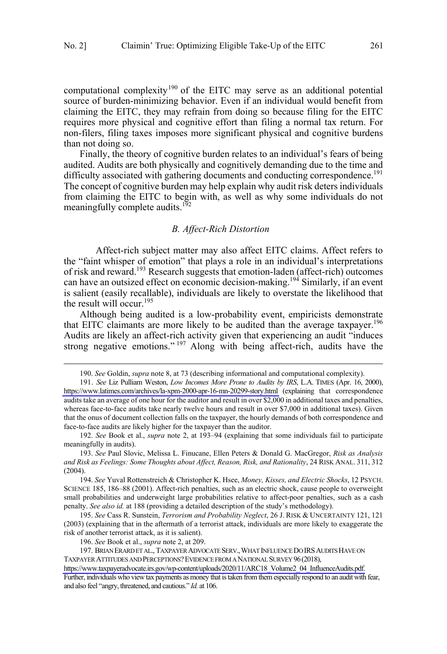<span id="page-18-0"></span>computational complexity<sup>190</sup> of the EITC may serve as an additional potential source of burden-minimizing behavior. Even if an individual would benefit from claiming the EITC, they may refrain from doing so because filing for the EITC requires more physical and cognitive effort than filing a normal tax return. For non-filers, filing taxes imposes more significant physical and cognitive burdens than not doing so.

Finally, the theory of cognitive burden relates to an individual's fears of being audited. Audits are both physically and cognitively demanding due to the time and difficulty associated with gathering documents and conducting correspondence.<sup>191</sup> The concept of cognitive burden may help explain why audit risk deters individuals from claiming the EITC to begin with, as well as why some individuals do not meaningfully complete audits.<sup>192</sup>

# *B. Affect-Rich Distortion*

Affect-rich subject matter may also affect EITC claims. Affect refers to the "faint whisper of emotion" that plays a role in an individual's interpretations of risk and reward.<sup>193</sup> Research suggests that emotion-laden (affect-rich) outcomes can have an outsized effect on economic decision-making.<sup>194</sup> Similarly, if an event is salient (easily recallable), individuals are likely to overstate the likelihood that the result will occur.<sup>195</sup>

Although being audited is a low-probability event, empiricists demonstrate that EITC claimants are more likely to be audited than the average taxpayer.<sup>196</sup> Audits are likely an affect-rich activity given that experiencing an audit "induces strong negative emotions."<sup>197</sup> Along with being affect-rich, audits have the

 <sup>190.</sup> *See* Goldin, *supra* note 8, at 73 (describing informational and computational complexity).

*See* Liz Pulliam Weston, *Low Incomes More Prone to Audits by IRS*, L.A. TIMES (Apr. 16, 2000), 191. <https://www.latimes.com/archives/la-xpm-2000-apr-16-mn-20299-story.html>(explaining that correspondence audits take an average of one hour for the auditor and result in over \$2,000 in additional taxes and penalties, whereas face-to-face audits take nearly twelve hours and result in over \$7,000 in additional taxes). Given that the onus of document collection falls on the taxpayer, the hourly demands of both correspondence and face-to-face audits are likely higher for the taxpayer than the auditor.

<sup>192.</sup> *See* Book et al., *supra* note 2, at 193–94 (explaining that some individuals fail to participate meaningfully in audits).

<sup>193.</sup> *See* Paul Slovic, Melissa L. Finucane, Ellen Peters & Donald G. MacGregor, *Risk as Analysis and Risk as Feelings: Some Thoughts about Affect, Reason, Risk, and Rationality*, 24 RISK ANAL. 311, 312 (2004).

<sup>194.</sup> *See* Yuval Rottenstreich & Christopher K. Hsee, *Money, Kisses, and Electric Shocks*, 12 PSYCH. SCIENCE 185, 186–88 (2001). Affect-rich penalties, such as an electric shock, cause people to overweight small probabilities and underweight large probabilities relative to affect-poor penalties, such as a cash penalty. *See also id.* at 188 (providing a detailed description of the study's methodology).

<sup>195.</sup> *See* Cass R. Sunstein, *Terrorism and Probability Neglect*, 26 J. RISK & UNCERTAINTY 121, 121 (2003) (explaining that in the aftermath of a terrorist attack, individuals are more likely to exaggerate the risk of another terrorist attack, as it is salient).

<sup>196.</sup> *See* Book et al., *supra* note 2, at 209.

<sup>197.</sup> BRIAN ERARD ET AL., TAXPAYER ADVOCATE SERV., WHAT INFLUENCE DO IRS AUDITS HAVE ON TAXPAYER ATTITUDES AND PERCEPTIONS?EVIDENCE FROM A NATIONAL SURVEY 96(2018),

[https://www.taxpayeradvocate.irs.gov/wp-content/uploads/2020/11/ARC18\\_Volume2\\_04\\_InfluenceAudits.pdf.](https://www.taxpayeradvocate.irs.gov/wp-content/uploads/2020/11/ARC18_Volume2_04_InfluenceAudits.pdf)  Further, individuals who view tax payments as money that is taken from them especially respond to an audit with fear, and also feel "angry, threatened, and cautious." *Id.* at 106.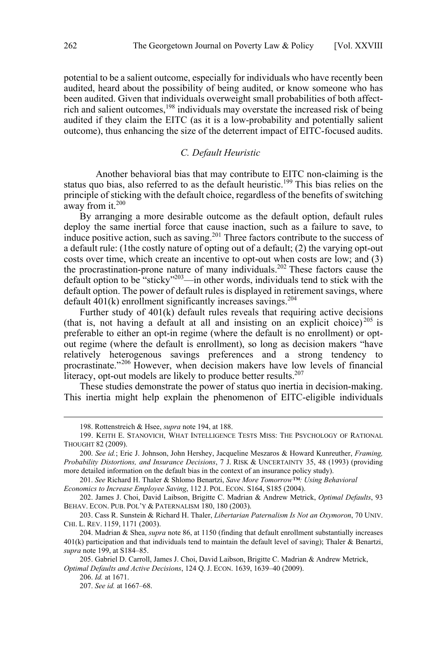<span id="page-19-0"></span>potential to be a salient outcome, especially for individuals who have recently been audited, heard about the possibility of being audited, or know someone who has been audited. Given that individuals overweight small probabilities of both affectrich and salient outcomes,<sup>198</sup> individuals may overstate the increased risk of being audited if they claim the EITC (as it is a low-probability and potentially salient outcome), thus enhancing the size of the deterrent impact of EITC-focused audits.

# *C. Default Heuristic*

Another behavioral bias that may contribute to EITC non-claiming is the status quo bias, also referred to as the default heuristic.<sup>199</sup> This bias relies on the principle of sticking with the default choice, regardless of the benefits of switching away from it.<sup>200</sup>

By arranging a more desirable outcome as the default option, default rules deploy the same inertial force that cause inaction, such as a failure to save, to induce positive action, such as saving.<sup>201</sup> Three factors contribute to the success of a default rule: (1the costly nature of opting out of a default; (2) the varying opt-out costs over time, which create an incentive to opt-out when costs are low; and (3) the procrastination-prone nature of many individuals.<sup>202</sup> These factors cause the default option to be "sticky"203—in other words, individuals tend to stick with the default option. The power of default rules is displayed in retirement savings, where default  $401(k)$  enrollment significantly increases savings.<sup>204</sup>

Further study of 401(k) default rules reveals that requiring active decisions (that is, not having a default at all and insisting on an explicit choice)<sup>205</sup> is preferable to either an opt-in regime (where the default is no enrollment) or optout regime (where the default is enrollment), so long as decision makers "have relatively heterogenous savings preferences and a strong tendency to procrastinate."<sup>206</sup> However, when decision makers have low levels of financial literacy, opt-out models are likely to produce better results. $207$ 

These studies demonstrate the power of status quo inertia in decision-making. This inertia might help explain the phenomenon of EITC-eligible individuals

 $\overline{a}$ 

201. *See* Richard H. Thaler & Shlomo Benartzi, *Save More Tomorrow™: Using Behavioral Economics to Increase Employee Saving*, 112 J. POL. ECON. S164, S185 (2004).

202. James J. Choi, David Laibson, Brigitte C. Madrian & Andrew Metrick, *Optimal Defaults*, 93 BEHAV. ECON. PUB. POL'Y & PATERNALISM 180, 180 (2003).

203. Cass R. Sunstein & Richard H. Thaler, *Libertarian Paternalism Is Not an Oxymoron*, 70 UNIV. CHI. L. REV. 1159, 1171 (2003).

204. Madrian & Shea, *supra* note 86, at 1150 (finding that default enrollment substantially increases 401(k) participation and that individuals tend to maintain the default level of saving); Thaler & Benartzi, *supra* note 199, at S184–85.

205. Gabriel D. Carroll, James J. Choi, David Laibson, Brigitte C. Madrian & Andrew Metrick, *Optimal Defaults and Active Decisions*, 124 Q. J. ECON. 1639, 1639–40 (2009).

206. *Id.* at 1671.

 <sup>198.</sup> Rottenstreich & Hsee, *supra* note 194, at 188.

<sup>199.</sup> KEITH E. STANOVICH, WHAT INTELLIGENCE TESTS MISS: THE PSYCHOLOGY OF RATIONAL THOUGHT 82 (2009).

<sup>200.</sup> *See id.*; Eric J. Johnson, John Hershey, Jacqueline Meszaros & Howard Kunreuther, *Framing, Probability Distortions, and Insurance Decisions*, 7 J. RISK & UNCERTAINTY 35, 48 (1993) (providing more detailed information on the default bias in the context of an insurance policy study).

<sup>207.</sup> *See id.* at 1667–68.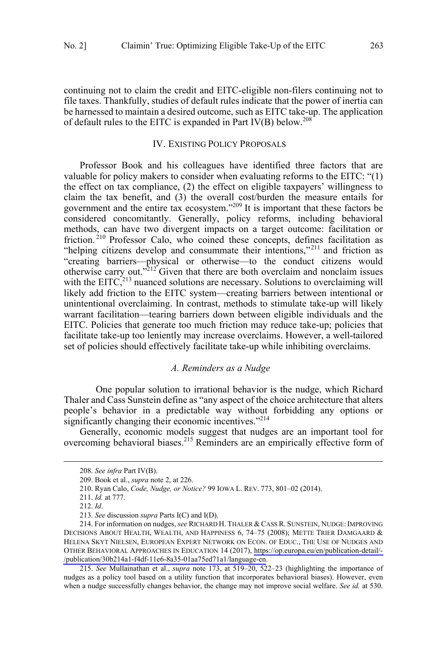<span id="page-20-0"></span>continuing not to claim the credit and EITC-eligible non-filers continuing not to file taxes. Thankfully, studies of default rules indicate that the power of inertia can be harnessed to maintain a desired outcome, such as EITC take-up. The application of default rules to the EITC is expanded in Part IV(B) below.208

# IV. EXISTING POLICY PROPOSALS

Professor Book and his colleagues have identified three factors that are valuable for policy makers to consider when evaluating reforms to the EITC: "(1) the effect on tax compliance, (2) the effect on eligible taxpayers' willingness to claim the tax benefit, and (3) the overall cost/burden the measure entails for government and the entire tax ecosystem."209 It is important that these factors be considered concomitantly. Generally, policy reforms, including behavioral methods, can have two divergent impacts on a target outcome: facilitation or friction.<sup>210</sup> Professor Calo, who coined these concepts, defines facilitation as "helping citizens develop and consummate their intentions,"<sup>211</sup> and friction as "creating barriers—physical or otherwise—to the conduct citizens would otherwise carry out."<sup>212</sup> Given that there are both overclaim and nonclaim issues with the EITC, $^{213}$  nuanced solutions are necessary. Solutions to overclaiming will likely add friction to the EITC system—creating barriers between intentional or unintentional overclaiming. In contrast, methods to stimulate take-up will likely warrant facilitation—tearing barriers down between eligible individuals and the EITC. Policies that generate too much friction may reduce take-up; policies that facilitate take-up too leniently may increase overclaims. However, a well-tailored set of policies should effectively facilitate take-up while inhibiting overclaims.

# *A. Reminders as a Nudge*

One popular solution to irrational behavior is the nudge, which Richard Thaler and Cass Sunstein define as "any aspect of the choice architecture that alters people's behavior in a predictable way without forbidding any options or significantly changing their economic incentives."<sup>214</sup>

Generally, economic models suggest that nudges are an important tool for overcoming behavioral biases.<sup>215</sup> Reminders are an empirically effective form of

 $\overline{a}$ 

215. *See* Mullainathan et al., *supra* note 173, at 519–20, 522–23 (highlighting the importance of nudges as a policy tool based on a utility function that incorporates behavioral biases). However, even when a nudge successfully changes behavior, the change may not improve social welfare. *See id.* at 530.

 <sup>208.</sup> *See infra* Part IV(B).

<sup>209.</sup> Book et al., *supra* note 2, at 226.

<sup>210.</sup> Ryan Calo, *Code, Nudge, or Notice?* 99 IOWA L. REV. 773, 801–02 (2014).

<sup>211.</sup> *Id.* at 777.

<sup>212.</sup> *Id*.

<sup>213.</sup> *See* discussion *supra* Parts I(C) and I(D).

<sup>214.</sup> For information on nudges, *see* RICHARD H. THALER & CASS R. SUNSTEIN, NUDGE: IMPROVING DECISIONS ABOUT HEALTH, WEALTH, AND HAPPINESS 6, 74–75 (2008); METTE TRIER DAMGAARD & HELENA SKYT NIELSEN, EUROPEAN EXPERT NETWORK ON ECON. OF EDUC., THE USE OF NUDGES AND OTHER BEHAVIORAL APPROACHES IN EDUCATION 14 (2017), [https://op.europa.eu/en/publication-detail/-](https://op.europa.eu/en/publication-detail/-/publication/30b214a1-f4df-11e6-8a35-01aa75ed71a1/language-en) [/publication/30b214a1-f4df-11e6-8a35-01aa75ed71a1/language-en](https://op.europa.eu/en/publication-detail/-/publication/30b214a1-f4df-11e6-8a35-01aa75ed71a1/language-en).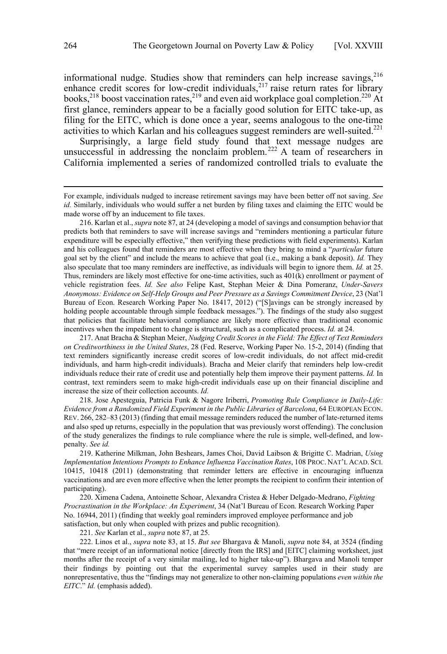informational nudge. Studies show that reminders can help increase savings,  $216$ enhance credit scores for low-credit individuals,  $217$  raise return rates for library books,<sup>218</sup> boost vaccination rates,<sup>219</sup> and even aid workplace goal completion.<sup>220</sup> At first glance, reminders appear to be a facially good solution for  $EITC$  take-up, as filing for the EITC, which is done once a year, seems analogous to the one-time activities to which Karlan and his colleagues suggest reminders are well-suited.<sup>221</sup>

Surprisingly, a large field study found that text message nudges are unsuccessful in addressing the nonclaim problem.<sup>222</sup> A team of researchers in California implemented a series of randomized controlled trials to evaluate the

 $\overline{a}$ 

218. Jose Apesteguia, Patricia Funk & Nagore Iriberri, *Promoting Rule Compliance in Daily-Life: Evidence from a Randomized Field Experiment in the Public Libraries of Barcelona*, 64 EUROPEAN ECON. REV. 266, 282–83 (2013) (finding that email message reminders reduced the number of late-returned items and also sped up returns, especially in the population that was previously worst offending). The conclusion of the study generalizes the findings to rule compliance where the rule is simple, well-defined, and lowpenalty. *See id.* 

219. Katherine Milkman, John Beshears, James Choi, David Laibson & Brigitte C. Madrian, *Using Implementation Intentions Prompts to Enhance Influenza Vaccination Rates*, 108 PROC. NAT'L ACAD. SCI. 10415, 10418 (2011) (demonstrating that reminder letters are effective in encouraging influenza vaccinations and are even more effective when the letter prompts the recipient to confirm their intention of participating).

220. Ximena Cadena, Antoinette Schoar, Alexandra Cristea & Heber Delgado-Medrano, *Fighting Procrastination in the Workplace: An Experiment*, 34 (Nat'l Bureau of Econ. Research Working Paper No. 16944, 2011) (finding that weekly goal reminders improved employee performance and job satisfaction, but only when coupled with prizes and public recognition).

221. *See* Karlan et al., *supra* note 87, at 25.

222. Linos et al., *supra* note 83, at 15. *But see* Bhargava & Manoli, *supra* note 84, at 3524 (finding that "mere receipt of an informational notice [directly from the IRS] and [EITC] claiming worksheet, just months after the receipt of a very similar mailing, led to higher take-up"). Bhargava and Manoli temper their findings by pointing out that the experimental survey samples used in their study are nonrepresentative, thus the "findings may not generalize to other non-claiming populations *even within the EITC*." *Id.* (emphasis added).

For example, individuals nudged to increase retirement savings may have been better off not saving. *See id.* Similarly, individuals who would suffer a net burden by filing taxes and claiming the EITC would be made worse off by an inducement to file taxes.

<sup>216.</sup> Karlan et al., *supra* note 87, at 24 (developing a model of savings and consumption behavior that predicts both that reminders to save will increase savings and "reminders mentioning a particular future expenditure will be especially effective," then verifying these predictions with field experiments). Karlan and his colleagues found that reminders are most effective when they bring to mind a "*particular* future goal set by the client" and include the means to achieve that goal (i.e., making a bank deposit). *Id.* They also speculate that too many reminders are ineffective, as individuals will begin to ignore them. *Id.* at 25. Thus, reminders are likely most effective for one-time activities, such as 401(k) enrollment or payment of vehicle registration fees. *Id. See also* Felipe Kast, Stephan Meier & Dina Pomeranz, *Under-Savers Anonymous: Evidence on Self-Help Groups and Peer Pressure as a Savings Commitment Device*, 23 (Nat'l Bureau of Econ. Research Working Paper No. 18417, 2012) ("[S]avings can be strongly increased by holding people accountable through simple feedback messages."). The findings of the study also suggest that policies that facilitate behavioral compliance are likely more effective than traditional economic incentives when the impediment to change is structural, such as a complicated process. *Id.* at 24.

<sup>217.</sup> Anat Bracha & Stephan Meier, *Nudging Credit Scores in the Field: The Effect of Text Reminders on Creditworthiness in the United States*, 28 (Fed. Reserve, Working Paper No. 15-2, 2014) (finding that text reminders significantly increase credit scores of low-credit individuals, do not affect mid-credit individuals, and harm high-credit individuals). Bracha and Meier clarify that reminders help low-credit individuals reduce their rate of credit use and potentially help them improve their payment patterns. *Id.* In contrast, text reminders seem to make high-credit individuals ease up on their financial discipline and increase the size of their collection accounts. *Id.*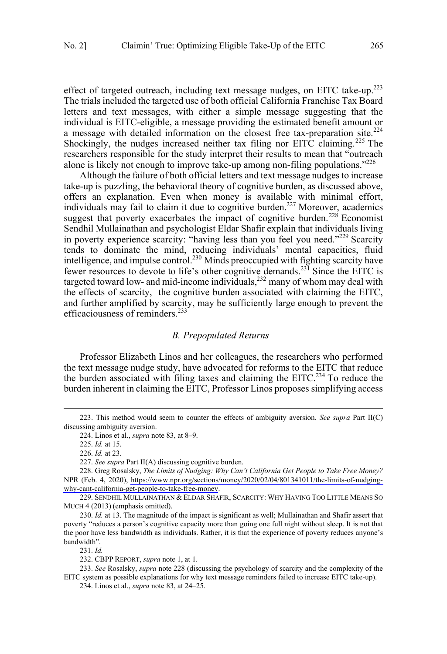<span id="page-22-0"></span>effect of targeted outreach, including text message nudges, on EITC take-up.<sup>223</sup> The trials included the targeted use of both official California Franchise Tax Board letters and text messages, with either a simple message suggesting that the individual is EITC-eligible, a message providing the estimated benefit amount or a message with detailed information on the closest free tax-preparation site.<sup>224</sup> Shockingly, the nudges increased neither tax filing nor EITC claiming.<sup>225</sup> The researchers responsible for the study interpret their results to mean that "outreach alone is likely not enough to improve take-up among non-filing populations."<sup>226</sup>

Although the failure of both official letters and text message nudges to increase take-up is puzzling, the behavioral theory of cognitive burden, as discussed above, offers an explanation. Even when money is available with minimal effort, individuals may fail to claim it due to cognitive burden.<sup>227</sup> Moreover, academics suggest that poverty exacerbates the impact of cognitive burden.<sup>228</sup> Economist Sendhil Mullainathan and psychologist Eldar Shafir explain that individuals living in poverty experience scarcity: "having less than you feel you need."<sup>229</sup> Scarcity tends to dominate the mind, reducing individuals' mental capacities, fluid intelligence, and impulse control.<sup>230</sup> Minds preoccupied with fighting scarcity have fewer resources to devote to life's other cognitive demands.<sup>231</sup> Since the EITC is targeted toward low- and mid-income individuals, $^{232}$  many of whom may deal with the effects of scarcity, the cognitive burden associated with claiming the EITC, and further amplified by scarcity, may be sufficiently large enough to prevent the efficaciousness of reminders.<sup>233</sup>

#### *B. Prepopulated Returns*

Professor Elizabeth Linos and her colleagues, the researchers who performed the text message nudge study, have advocated for reforms to the EITC that reduce the burden associated with filing taxes and claiming the  $EITC<sup>234</sup>$  To reduce the burden inherent in claiming the EITC, Professor Linos proposes simplifying access

 $\overline{a}$ 

227. *See supra* Part II(A) discussing cognitive burden.

231. *Id.*

 <sup>223.</sup> This method would seem to counter the effects of ambiguity aversion. *See supra* Part II(C) discussing ambiguity aversion.

<sup>224.</sup> Linos et al., *supra* note 83, at 8–9.

<sup>225.</sup> *Id.* at 15.

<sup>226.</sup> *Id.* at 23.

 [why-cant-california-get-people-to-take-free-money](https://www.npr.org/sections/money/2020/02/04/801341011/the-limits-of-nudging-why-cant-california-get-people-to-take-free-money). Greg Rosalsky, *The Limits of Nudging: Why Can't California Get People to Take Free Money?* 228. NPR (Feb. 4, 2020), [https://www.npr.org/sections/money/2020/02/04/801341011/the-limits-of-nudging-](https://www.npr.org/sections/money/2020/02/04/801341011/the-limits-of-nudging-why-cant-california-get-people-to-take-free-money)

<sup>229.</sup> SENDHIL MULLAINATHAN & ELDAR SHAFIR, SCARCITY: WHY HAVING TOO LITTLE MEANS SO MUCH 4 (2013) (emphasis omitted).

<sup>230.</sup> *Id.* at 13. The magnitude of the impact is significant as well; Mullainathan and Shafir assert that poverty "reduces a person's cognitive capacity more than going one full night without sleep. It is not that the poor have less bandwidth as individuals. Rather, it is that the experience of poverty reduces anyone's bandwidth".

<sup>232.</sup> CBPP REPORT, *supra* note 1, at 1.

<sup>233.</sup> *See* Rosalsky, *supra* note 228 (discussing the psychology of scarcity and the complexity of the EITC system as possible explanations for why text message reminders failed to increase EITC take-up).

<sup>234.</sup> Linos et al., *supra* note 83, at 24–25.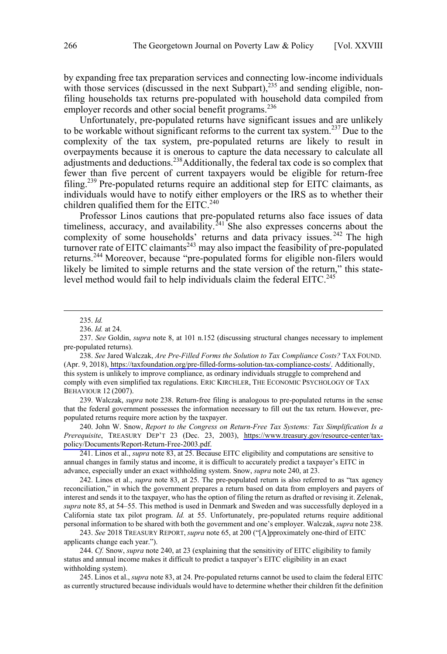by expanding free tax preparation services and connecting low-income individuals with those services (discussed in the next Subpart),<sup>235</sup> and sending eligible, nonfiling households tax returns pre-populated with household data compiled from employer records and other social benefit programs.<sup>236</sup>

Unfortunately, pre-populated returns have significant issues and are unlikely to be workable without significant reforms to the current tax system.237 Due to the complexity of the tax system, pre-populated returns are likely to result in overpayments because it is onerous to capture the data necessary to calculate all adjustments and deductions.<sup>238</sup>Additionally, the federal tax code is so complex that fewer than five percent of current taxpayers would be eligible for return-free filing.<sup>239</sup> Pre-populated returns require an additional step for EITC claimants, as individuals would have to notify either employers or the IRS as to whether their children qualified them for the  $EITC<sup>240</sup>$ 

Professor Linos cautions that pre-populated returns also face issues of data timeliness, accuracy, and availability.<sup>241</sup> She also expresses concerns about the complexity of some households' returns and data privacy issues.<sup>242</sup> The high  $turnover$  rate of EITC claimants<sup>243</sup> may also impact the feasibility of pre-populated returns.<sup>244</sup> Moreover, because "pre-populated forms for eligible non-filers would likely be limited to simple returns and the state version of the return," this statelevel method would fail to help individuals claim the federal EITC.<sup>245</sup>

 $\overline{a}$ 

239. Walczak, *supra* note 238. Return-free filing is analogous to pre-populated returns in the sense that the federal government possesses the information necessary to fill out the tax return. However, prepopulated returns require more action by the taxpayer.

240. John W. Snow, *Report to the Congress on Return-Free Tax Systems: Tax Simplification Is a Prerequisite*, TREASURY DEP'T 23 (Dec. 23, 2003), [https://www.treasury.gov/resource-center/tax](https://www.treasury.gov/resource-center/tax-policy/Documents/Report-Return-Free-2003.pdf)[policy/Documents/Report-Return-Free-2003.pdf.](https://www.treasury.gov/resource-center/tax-policy/Documents/Report-Return-Free-2003.pdf)

241. Linos et al., *supra* note 83, at 25. Because EITC eligibility and computations are sensitive to annual changes in family status and income, it is difficult to accurately predict a taxpayer's EITC in advance, especially under an exact withholding system. Snow, *supra* note 240, at 23.

242. Linos et al., *supra* note 83, at 25. The pre-populated return is also referred to as "tax agency reconciliation," in which the government prepares a return based on data from employers and payers of interest and sends it to the taxpayer, who has the option of filing the return as drafted or revising it. Zelenak, *supra* note 85, at 54–55. This method is used in Denmark and Sweden and was successfully deployed in a California state tax pilot program. *Id.* at 55. Unfortunately, pre-populated returns require additional personal information to be shared with both the government and one's employer. Walczak, *supra* note 238.

243. *See* 2018 TREASURY REPORT, *supra* note 65, at 200 ("[A]pproximately one-third of EITC applicants change each year.").

244. *Cf.* Snow, *supra* note 240, at 23 (explaining that the sensitivity of EITC eligibility to family status and annual income makes it difficult to predict a taxpayer's EITC eligibility in an exact withholding system).

245. Linos et al., *supra* note 83, at 24. Pre-populated returns cannot be used to claim the federal EITC as currently structured because individuals would have to determine whether their children fit the definition

 <sup>235.</sup> *Id.*

<sup>236.</sup> *Id.* at 24.

<sup>237.</sup> *See* Goldin, *supra* note 8, at 101 n.152 (discussing structural changes necessary to implement pre-populated returns).

<sup>238.</sup> See Jared Walczak, Are Pre-Filled Forms the Solution to Tax Compliance Costs? TAX FOUND. (Apr. 9, 2018), [https://taxfoundation.org/pre-filled-forms-solution-tax-compliance-costs/.](https://taxfoundation.org/pre-filled-forms-solution-tax-compliance-costs/) Additionally, this system is unlikely to improve compliance, as ordinary individuals struggle to comprehend and comply with even simplified tax regulations. ERIC KIRCHLER, THE ECONOMIC PSYCHOLOGY OF TAX BEHAVIOUR 12 (2007).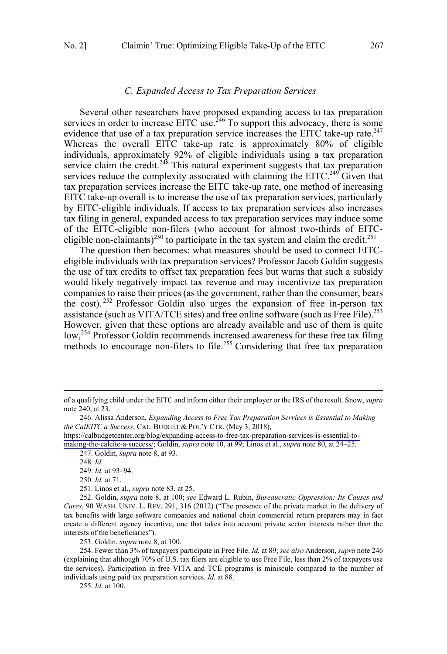#### *C. Expanded Access to Tax Preparation Services*

<span id="page-24-0"></span>Several other researchers have proposed expanding access to tax preparation services in order to increase EITC use.<sup>246</sup> To support this advocacy, there is some evidence that use of a tax preparation service increases the EITC take-up rate.<sup>247</sup> Whereas the overall EITC take-up rate is approximately 80% of eligible individuals, approximately 92% of eligible individuals using a tax preparation service claim the credit.<sup>248</sup> This natural experiment suggests that tax preparation services reduce the complexity associated with claiming the EITC.<sup>249</sup> Given that tax preparation services increase the EITC take-up rate, one method of increasing EITC take-up overall is to increase the use of tax preparation services, particularly by EITC-eligible individuals. If access to tax preparation services also increases tax filing in general, expanded access to tax preparation services may induce some of the EITC-eligible non-filers (who account for almost two-thirds of EITCeligible non-claimants)<sup>250</sup> to participate in the tax system and claim the credit.<sup>251</sup>

The question then becomes: what measures should be used to connect EITCeligible individuals with tax preparation services? Professor Jacob Goldin suggests the use of tax credits to offset tax preparation fees but warns that such a subsidy would likely negatively impact tax revenue and may incentivize tax preparation companies to raise their prices (as the government, rather than the consumer, bears the cost). <sup>252</sup> Professor Goldin also urges the expansion of free in-person tax assistance (such as VITA/TCE sites) and free online software (such as Free File).<sup>253</sup> However, given that these options are already available and use of them is quite low,<sup>254</sup> Professor Goldin recommends increased awareness for these free tax filing methods to encourage non-filers to file.<sup>255</sup> Considering that free tax preparation

 $\overline{a}$ 

 $\overline{a}$ 

253. Goldin, *supra* note 8, at 100.

255. *Id*. at 100.

of a qualifying child under the EITC and inform either their employer or the IRS of the result. Snow, *supra*  note 240, at 23.

Alissa Anderson, *Expanding Access to Free Tax Preparation Services is Essential to Making*  246. *the CalEITC a Success*, CAL. BUDGET & POL'Y CTR. (May 3, 2018),

[https://calbudgetcenter.org/blog/expanding-access-to-free-tax-preparation-services-is-essential-to](https://calbudgetcenter.org/blog/expanding-access-to-free-tax-preparation-services-is-essential-to-making-the-caleitc-a-success/)[making-the-caleitc-a-success/;](https://calbudgetcenter.org/blog/expanding-access-to-free-tax-preparation-services-is-essential-to-making-the-caleitc-a-success/) Goldin, *supra* note 10, at 99; Linos et al., *supra* note 80, at 24–25.

<sup>247.</sup> Goldin, *supra* note 8, at 93.

<sup>248.</sup> *Id*.

<sup>249.</sup> *Id.* at 93–94.

<sup>250.</sup> *Id.* at 71.

<sup>251.</sup> Linos et al., *supra* note 83, at 25.

<sup>252.</sup> Goldin, *supra* note 8, at 100; *see* Edward L. Rubin, *Bureaucratic Oppression: Its Causes and Cures*, 90 WASH. UNIV. L. REV. 291, 316 (2012) ("The presence of the private market in the delivery of tax benefits with large software companies and national chain commercial return preparers may in fact create a different agency incentive, one that takes into account private sector interests rather than the interests of the beneficiaries").

<sup>254.</sup> Fewer than 3% of taxpayers participate in Free File. *Id.* at 89; *see also* Anderson, *supra* note 246 (explaining that although 70% of U.S. tax filers are eligible to use Free File, less than 2% of taxpayers use the services). Participation in free VITA and TCE programs is miniscule compared to the number of individuals using paid tax preparation services. *Id.* at 88.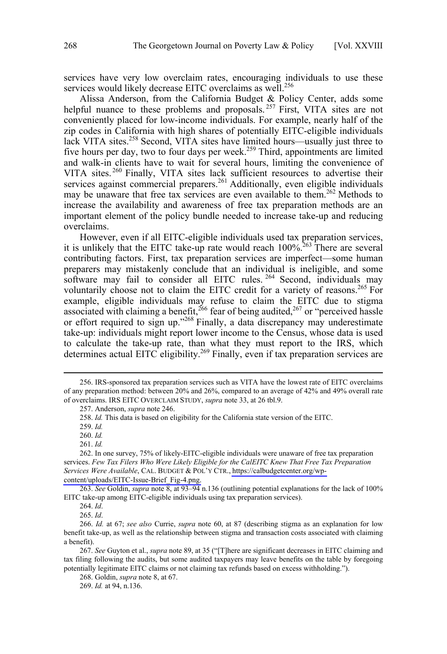services have very low overclaim rates, encouraging individuals to use these services would likely decrease EITC overclaims as well.<sup>256</sup>

Alissa Anderson, from the California Budget & Policy Center, adds some helpful nuance to these problems and proposals.<sup>257</sup> First, VITA sites are not conveniently placed for low-income individuals. For example, nearly half of the zip codes in California with high shares of potentially EITC-eligible individuals lack VITA sites.<sup>258</sup> Second, VITA sites have limited hours—usually just three to five hours per day, two to four days per week.<sup>259</sup> Third, appointments are limited and walk-in clients have to wait for several hours, limiting the convenience of VITA sites.<sup>260</sup> Finally, VITA sites lack sufficient resources to advertise their services against commercial preparers.<sup>261</sup> Additionally, even eligible individuals may be unaware that free tax services are even available to them.<sup>262</sup> Methods to increase the availability and awareness of free tax preparation methods are an important element of the policy bundle needed to increase take-up and reducing overclaims.

However, even if all EITC-eligible individuals used tax preparation services, it is unlikely that the EITC take-up rate would reach  $100\%$ <sup>263</sup>. There are several contributing factors. First, tax preparation services are imperfect—some human preparers may mistakenly conclude that an individual is ineligible, and some software may fail to consider all EITC rules.<sup>264</sup> Second, individuals may voluntarily choose not to claim the EITC credit for a variety of reasons.<sup>265</sup> For example, eligible individuals may refuse to claim the EITC due to stigma associated with claiming a benefit,  $^{266}$  fear of being audited,  $^{267}$  or "perceived hassle or effort required to sign up."<sup>268</sup> Finally, a data discrepancy may underestimate take-up: individuals might report lower income to the Census, whose data is used to calculate the take-up rate, than what they must report to the IRS, which determines actual EITC eligibility.<sup>269</sup> Finally, even if tax preparation services are

 $\overline{a}$ 

263. *See* Goldin, *supra* note 8, at 93–94 n.136 (outlining potential explanations for the lack of 100% EITC take-up among EITC-eligible individuals using tax preparation services).

267. *See* Guyton et al., *supra* note 89, at 35 ("[T]here are significant decreases in EITC claiming and tax filing following the audits, but some audited taxpayers may leave benefits on the table by foregoing potentially legitimate EITC claims or not claiming tax refunds based on excess withholding.").

268. Goldin, *supra* note 8, at 67.

 <sup>256.</sup> IRS-sponsored tax preparation services such as VITA have the lowest rate of EITC overclaims of any preparation method: between 20% and 26%, compared to an average of 42% and 49% overall rate of overclaims. IRS EITC OVERCLAIM STUDY, *supra* note 33, at 26 tbl.9.

<sup>257.</sup> Anderson, *supra* note 246.

<sup>258.</sup> *Id.* This data is based on eligibility for the California state version of the EITC.

<sup>259.</sup> *Id.*

<sup>260.</sup> *Id.*

<sup>261.</sup> *Id.*

<sup>262.</sup> In one survey, 75% of likely-EITC-eligible individuals were unaware of free tax preparation services. *Few Tax Filers Who Were Likely Eligible for the CalEITC Knew That Free Tax Preparation Services Were Available*, CAL. BUDGET & POL'Y CTR., [https://calbudgetcenter.org/wp](https://calbudgetcenter.org/wp-content/uploads/EITC-Issue-Brief_Fig-4.png)[content/uploads/EITC-Issue-Brief\\_Fig-4.png.](https://calbudgetcenter.org/wp-content/uploads/EITC-Issue-Brief_Fig-4.png)

<sup>264.</sup> *Id*.

<sup>265.</sup> *Id*.

<sup>266.</sup> *Id.* at 67; *see also* Currie, *supra* note 60, at 87 (describing stigma as an explanation for low benefit take-up, as well as the relationship between stigma and transaction costs associated with claiming a benefit).

<sup>269.</sup> *Id.* at 94, n.136.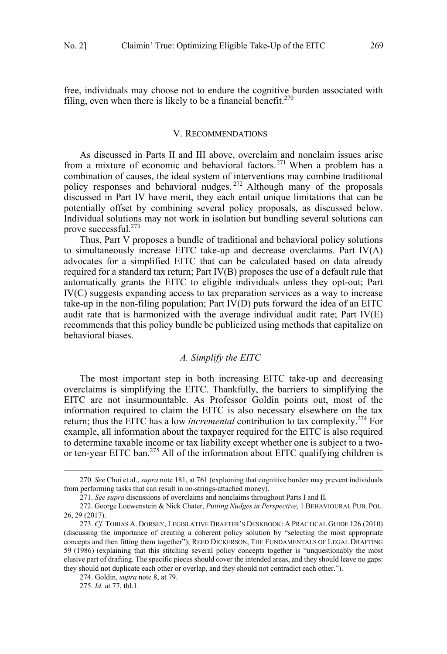<span id="page-26-0"></span>free, individuals may choose not to endure the cognitive burden associated with filing, even when there is likely to be a financial benefit.<sup>270</sup>

## V. RECOMMENDATIONS

As discussed in Parts II and III above, overclaim and nonclaim issues arise from a mixture of economic and behavioral factors.<sup>271</sup> When a problem has a combination of causes, the ideal system of interventions may combine traditional policy responses and behavioral nudges.<sup>272</sup> Although many of the proposals discussed in Part IV have merit, they each entail unique limitations that can be potentially offset by combining several policy proposals, as discussed below. Individual solutions may not work in isolation but bundling several solutions can prove successful.273

Thus, Part V proposes a bundle of traditional and behavioral policy solutions to simultaneously increase EITC take-up and decrease overclaims. Part IV(A) advocates for a simplified EITC that can be calculated based on data already required for a standard tax return; Part IV(B) proposes the use of a default rule that automatically grants the EITC to eligible individuals unless they opt-out; Part IV(C) suggests expanding access to tax preparation services as a way to increase take-up in the non-filing population; Part IV(D) puts forward the idea of an EITC audit rate that is harmonized with the average individual audit rate; Part IV(E) recommends that this policy bundle be publicized using methods that capitalize on behavioral biases.

### *A. Simplify the EITC*

The most important step in both increasing EITC take-up and decreasing overclaims is simplifying the EITC. Thankfully, the barriers to simplifying the EITC are not insurmountable. As Professor Goldin points out, most of the information required to claim the EITC is also necessary elsewhere on the tax return; thus the EITC has a low *incremental* contribution to tax complexity.274 For example, all information about the taxpayer required for the EITC is also required to determine taxable income or tax liability except whether one is subject to a twoor ten-year EITC ban.<sup>275</sup> All of the information about EITC qualifying children is

 <sup>270.</sup> *See* Choi et al., *supra* note 181, at 761 (explaining that cognitive burden may prevent individuals from performing tasks that can result in no-strings-attached money).

<sup>271.</sup> *See supra* discussions of overclaims and nonclaims throughout Parts I and II*.* 

<sup>272.</sup> George Loewenstein & Nick Chater, *Putting Nudges in Perspective*, 1 BEHAVIOURAL PUB. POL. 26, 29 (2017).

<sup>273.</sup> *Cf.* TOBIAS A. DORSEY, LEGISLATIVE DRAFTER'S DESKBOOK: A PRACTICAL GUIDE 126 (2010) (discussing the importance of creating a coherent policy solution by "selecting the most appropriate concepts and then fitting them together"); REED DICKERSON, THE FUNDAMENTALS OF LEGAL DRAFTING 59 (1986) (explaining that this stitching several policy concepts together is "unquestionably the most elusive part of drafting. The specific pieces should cover the intended areas, and they should leave no gaps: they should not duplicate each other or overlap, and they should not contradict each other.").

<sup>274.</sup> Goldin, *supra* note 8, at 79.

<sup>275.</sup> *Id.* at 77, tbl.1.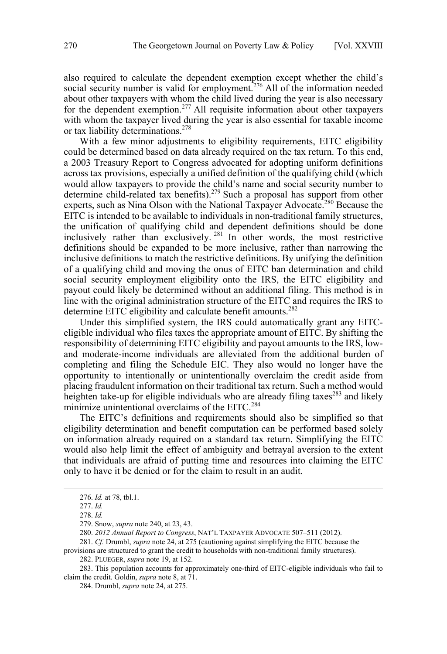also required to calculate the dependent exemption except whether the child's social security number is valid for employment.<sup>276</sup> All of the information needed about other taxpayers with whom the child lived during the year is also necessary for the dependent exemption.<sup>277</sup> All requisite information about other taxpayers with whom the taxpayer lived during the year is also essential for taxable income or tax liability determinations.<sup>278</sup>

With a few minor adjustments to eligibility requirements, EITC eligibility could be determined based on data already required on the tax return. To this end, a 2003 Treasury Report to Congress advocated for adopting uniform definitions across tax provisions, especially a unified definition of the qualifying child (which would allow taxpayers to provide the child's name and social security number to determine child-related tax benefits).<sup>279</sup> Such a proposal has support from other experts, such as Nina Olson with the National Taxpayer Advocate.<sup>280</sup> Because the EITC is intended to be available to individuals in non-traditional family structures, the unification of qualifying child and dependent definitions should be done inclusively rather than exclusively.  $281$  In other words, the most restrictive definitions should be expanded to be more inclusive, rather than narrowing the inclusive definitions to match the restrictive definitions. By unifying the definition of a qualifying child and moving the onus of EITC ban determination and child social security employment eligibility onto the IRS, the EITC eligibility and payout could likely be determined without an additional filing. This method is in line with the original administration structure of the EITC and requires the IRS to determine EITC eligibility and calculate benefit amounts.<sup>282</sup>

Under this simplified system, the IRS could automatically grant any EITCeligible individual who files taxes the appropriate amount of EITC. By shifting the responsibility of determining EITC eligibility and payout amounts to the IRS, lowand moderate-income individuals are alleviated from the additional burden of completing and filing the Schedule EIC. They also would no longer have the opportunity to intentionally or unintentionally overclaim the credit aside from placing fraudulent information on their traditional tax return. Such a method would heighten take-up for eligible individuals who are already filing taxes<sup>283</sup> and likely minimize unintentional overclaims of the EITC.<sup>284</sup>

The EITC's definitions and requirements should also be simplified so that eligibility determination and benefit computation can be performed based solely on information already required on a standard tax return. Simplifying the EITC would also help limit the effect of ambiguity and betrayal aversion to the extent that individuals are afraid of putting time and resources into claiming the EITC only to have it be denied or for the claim to result in an audit.

 $\overline{a}$ 

281. *Cf.* Drumbl, *supra* note 24, at 275 (cautioning against simplifying the EITC because the

283. This population accounts for approximately one-third of EITC-eligible individuals who fail to claim the credit. Goldin, *supra* note 8, at 71.

 <sup>276.</sup> *Id.* at 78, tbl.1.

<sup>277.</sup> *Id.*

<sup>278.</sup> *Id.*

<sup>279.</sup> Snow, *supra* note 240, at 23, 43.

<sup>280.</sup> *2012 Annual Report to Congress*, NAT'L TAXPAYER ADVOCATE 507–511 (2012).

provisions are structured to grant the credit to households with non-traditional family structures).

<sup>282.</sup> PLUEGER, *supra* note 19, at 152.

<sup>284.</sup> Drumbl, *supra* note 24, at 275.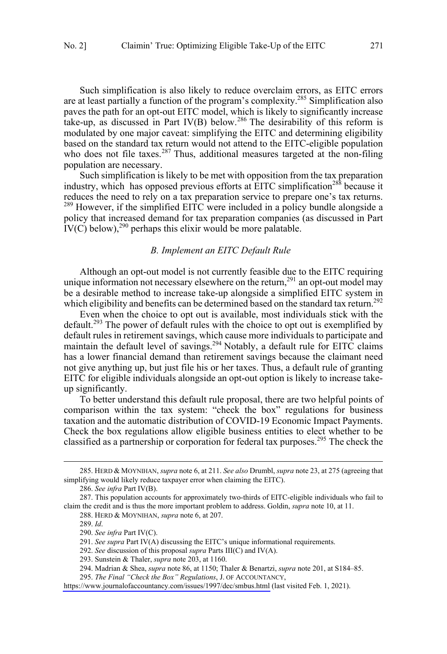<span id="page-28-0"></span>Such simplification is also likely to reduce overclaim errors, as EITC errors are at least partially a function of the program's complexity.285 Simplification also paves the path for an opt-out EITC model, which is likely to significantly increase take-up, as discussed in Part IV(B) below.<sup>286</sup> The desirability of this reform is modulated by one major caveat: simplifying the EITC and determining eligibility based on the standard tax return would not attend to the EITC-eligible population who does not file taxes.<sup>287</sup> Thus, additional measures targeted at the non-filing population are necessary.

Such simplification is likely to be met with opposition from the tax preparation industry, which has opposed previous efforts at  $EITC$  simplification<sup>288</sup> because it reduces the need to rely on a tax preparation service to prepare one's tax returns.  $289$  However, if the simplified EITC were included in a policy bundle alongside a policy that increased demand for tax preparation companies (as discussed in Part  $IV(C)$  below),<sup>290</sup> perhaps this elixir would be more palatable.

#### *B. Implement an EITC Default Rule*

Although an opt-out model is not currently feasible due to the EITC requiring unique information not necessary elsewhere on the return,  $291$  an opt-out model may be a desirable method to increase take-up alongside a simplified EITC system in which eligibility and benefits can be determined based on the standard tax return.<sup>292</sup>

Even when the choice to opt out is available, most individuals stick with the default.<sup>293</sup> The power of default rules with the choice to opt out is exemplified by default rules in retirement savings, which cause more individuals to participate and maintain the default level of savings.<sup>294</sup> Notably, a default rule for EITC claims has a lower financial demand than retirement savings because the claimant need not give anything up, but just file his or her taxes. Thus, a default rule of granting EITC for eligible individuals alongside an opt-out option is likely to increase takeup significantly.

To better understand this default rule proposal, there are two helpful points of comparison within the tax system: "check the box" regulations for business taxation and the automatic distribution of COVID-19 Economic Impact Payments. Check the box regulations allow eligible business entities to elect whether to be classified as a partnership or corporation for federal tax purposes.<sup>295</sup> The check the

<sup>285.</sup> HERD & MOYNIHAN, *supra* note 6, at 211. *See also* Drumbl, *supra* note 23, at 275 (agreeing that simplifying would likely reduce taxpayer error when claiming the EITC).

<sup>286.</sup> *See infra* Part IV(B).

<sup>287.</sup> This population accounts for approximately two-thirds of EITC-eligible individuals who fail to claim the credit and is thus the more important problem to address. Goldin, *supra* note 10, at 11.

<sup>288.</sup> HERD & MOYNIHAN, *supra* note 6, at 207.

<sup>289.</sup> *Id*.

<sup>290.</sup> *See infra* Part IV(C).

<sup>291.</sup> *See supra* Part IV(A) discussing the EITC's unique informational requirements.

<sup>292.</sup> *See* discussion of this proposal *supra* Parts III(C) and IV(A).

<sup>293.</sup> Sunstein & Thaler, *supra* note 203, at 1160.

<sup>294.</sup> Madrian & Shea, *supra* note 86, at 1150; Thaler & Benartzi, *supra* note 201, at S184–85.

*The Final "Check the Box" Regulations*, J. OF ACCOUNTANCY, 295.

<https://www.journalofaccountancy.com/issues/1997/dec/smbus.html> (last visited Feb. 1, 2021).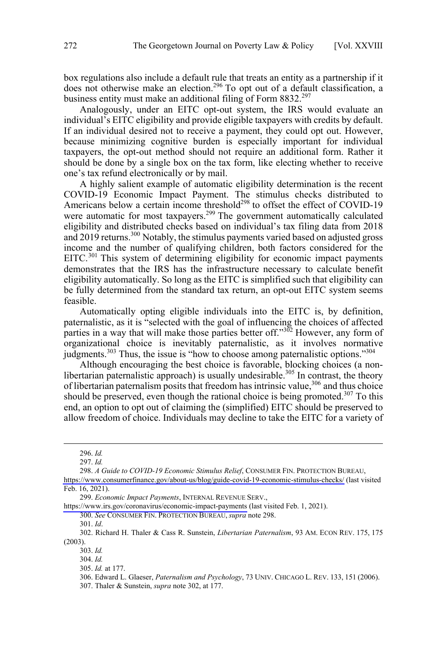box regulations also include a default rule that treats an entity as a partnership if it does not otherwise make an election.<sup>296</sup> To opt out of a default classification, a business entity must make an additional filing of Form 8832.<sup>297</sup>

Analogously, under an EITC opt-out system, the IRS would evaluate an individual's EITC eligibility and provide eligible taxpayers with credits by default. If an individual desired not to receive a payment, they could opt out. However, because minimizing cognitive burden is especially important for individual taxpayers, the opt-out method should not require an additional form. Rather it should be done by a single box on the tax form, like electing whether to receive one's tax refund electronically or by mail.

A highly salient example of automatic eligibility determination is the recent COVID-19 Economic Impact Payment. The stimulus checks distributed to Americans below a certain income threshold<sup>298</sup> to offset the effect of COVID-19 were automatic for most taxpayers.<sup>299</sup> The government automatically calculated eligibility and distributed checks based on individual's tax filing data from 2018 and 2019 returns.<sup>300</sup> Notably, the stimulus payments varied based on adjusted gross income and the number of qualifying children, both factors considered for the EITC.<sup>301</sup> This system of determining eligibility for economic impact payments demonstrates that the IRS has the infrastructure necessary to calculate benefit eligibility automatically. So long as the EITC is simplified such that eligibility can be fully determined from the standard tax return, an opt-out EITC system seems feasible.

Automatically opting eligible individuals into the EITC is, by definition, paternalistic, as it is "selected with the goal of influencing the choices of affected parties in a way that will make those parties better off."<sup>302</sup> However, any form of organizational choice is inevitably paternalistic, as it involves normative judgments.<sup>303</sup> Thus, the issue is "how to choose among paternalistic options."<sup>304</sup>

Although encouraging the best choice is favorable, blocking choices (a nonlibertarian paternalistic approach) is usually undesirable.<sup>305</sup> In contrast, the theory of libertarian paternalism posits that freedom has intrinsic value,<sup>306</sup> and thus choice should be preserved, even though the rational choice is being promoted.<sup>307</sup> To this end, an option to opt out of claiming the (simplified) EITC should be preserved to allow freedom of choice. Individuals may decline to take the EITC for a variety of

 $\overline{a}$ 

*A Guide to COVID-19 Economic Stimulus Relief*, CONSUMER FIN. PROTECTION BUREAU, 298.

<https://www.irs.gov/coronavirus/economic-impact-payments>(last visited Feb. 1, 2021).

300. *See* CONSUMER FIN. PROTECTION BUREAU, *supra* note 298.

301. *Id*.

<sup>296.</sup> *Id.*

<sup>297.</sup> *Id.*

<https://www.consumerfinance.gov/about-us/blog/guide-covid-19-economic-stimulus-checks/>(last visited Feb. 16, 2021).

*Economic Impact Payments*, INTERNAL REVENUE SERV., 299.

<sup>302.</sup> Richard H. Thaler & Cass R. Sunstein, *Libertarian Paternalism*, 93 AM. ECON REV. 175, 175 (2003).

<sup>303.</sup> *Id.*

<sup>304.</sup> *Id.*

<sup>305.</sup> *Id.* at 177.

<sup>306.</sup> Edward L. Glaeser, *Paternalism and Psychology*, 73 UNIV. CHICAGO L. REV. 133, 151 (2006).

<sup>307.</sup> Thaler & Sunstein, *supra* note 302, at 177.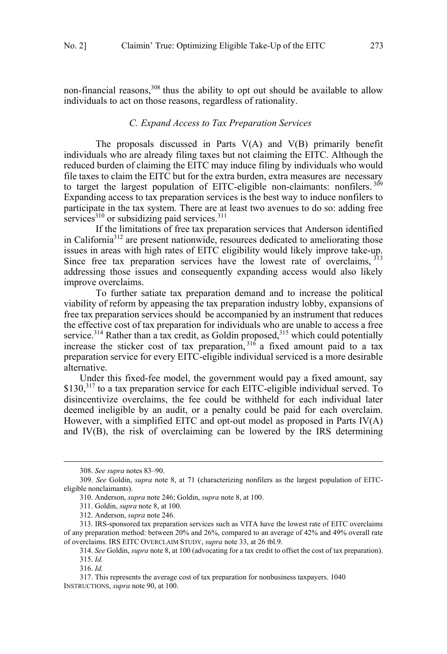<span id="page-30-0"></span>non-financial reasons,<sup>308</sup> thus the ability to opt out should be available to allow individuals to act on those reasons, regardless of rationality.

## *C. Expand Access to Tax Preparation Services*

The proposals discussed in Parts  $V(A)$  and  $V(B)$  primarily benefit individuals who are already filing taxes but not claiming the EITC. Although the reduced burden of claiming the EITC may induce filing by individuals who would file taxes to claim the EITC but for the extra burden, extra measures are necessary to target the largest population of EITC-eligible non-claimants: nonfilers.<sup>309</sup> Expanding access to tax preparation services is the best way to induce nonfilers to participate in the tax system. There are at least two avenues to do so: adding free services<sup>310</sup> or subsidizing paid services.<sup>311</sup>

If the limitations of free tax preparation services that Anderson identified in California<sup>312</sup> are present nationwide, resources dedicated to ameliorating those issues in areas with high rates of EITC eligibility would likely improve take-up. Since free tax preparation services have the lowest rate of overclaims,  $313$ addressing those issues and consequently expanding access would also likely improve overclaims.

To further satiate tax preparation demand and to increase the political viability of reform by appeasing the tax preparation industry lobby, expansions of free tax preparation services should be accompanied by an instrument that reduces the effective cost of tax preparation for individuals who are unable to access a free service.<sup>314</sup> Rather than a tax credit, as Goldin proposed,<sup>315</sup> which could potentially increase the sticker cost of tax preparation,  $316$  a fixed amount paid to a tax preparation service for every EITC-eligible individual serviced is a more desirable alternative.

Under this fixed-fee model, the government would pay a fixed amount, say  $$130<sup>317</sup>$  to a tax preparation service for each EITC-eligible individual served. To disincentivize overclaims, the fee could be withheld for each individual later deemed ineligible by an audit, or a penalty could be paid for each overclaim. However, with a simplified EITC and opt-out model as proposed in Parts IV(A) and IV(B), the risk of overclaiming can be lowered by the IRS determining

 <sup>308.</sup> *See supra* notes 83–90.

<sup>309.</sup> *See* Goldin, *supra* note 8, at 71 (characterizing nonfilers as the largest population of EITCeligible nonclaimants).

<sup>310.</sup> Anderson, *supra* note 246; Goldin, *supra* note 8, at 100.

<sup>311.</sup> Goldin, *supra* note 8, at 100.

<sup>312.</sup> Anderson, *supra* note 246.

<sup>313.</sup> IRS-sponsored tax preparation services such as VITA have the lowest rate of EITC overclaims of any preparation method: between 20% and 26%, compared to an average of 42% and 49% overall rate of overclaims. IRS EITC OVERCLAIM STUDY, *supra* note 33, at 26 tbl.9.

<sup>314.</sup> *See* Goldin, *supra* note 8, at 100 (advocating for a tax credit to offset the cost of tax preparation).

<sup>315.</sup> *Id.*

<sup>316.</sup> *Id.*

<sup>317.</sup> This represents the average cost of tax preparation for nonbusiness taxpayers. 1040 INSTRUCTIONS, *supra* note 90, at 100.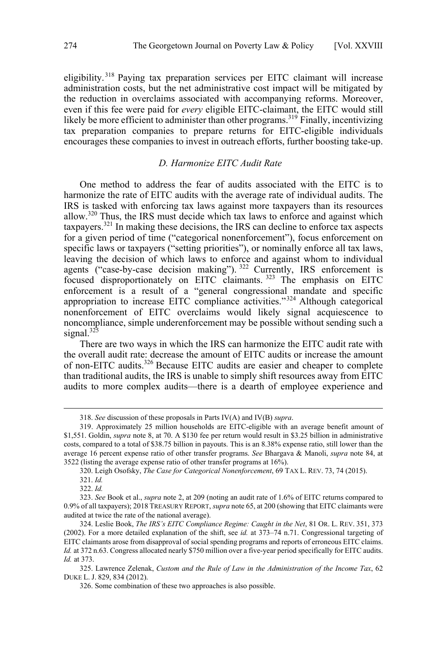<span id="page-31-0"></span>eligibility. <sup>318</sup> Paying tax preparation services per EITC claimant will increase administration costs, but the net administrative cost impact will be mitigated by the reduction in overclaims associated with accompanying reforms. Moreover, even if this fee were paid for *every* eligible EITC-claimant, the EITC would still likely be more efficient to administer than other programs.<sup>319</sup> Finally, incentivizing tax preparation companies to prepare returns for EITC-eligible individuals encourages these companies to invest in outreach efforts, further boosting take-up.

# *D. Harmonize EITC Audit Rate*

One method to address the fear of audits associated with the EITC is to harmonize the rate of EITC audits with the average rate of individual audits. The IRS is tasked with enforcing tax laws against more taxpayers than its resources allow.<sup>320</sup> Thus, the IRS must decide which tax laws to enforce and against which taxpayers.321 In making these decisions, the IRS can decline to enforce tax aspects for a given period of time ("categorical nonenforcement"), focus enforcement on specific laws or taxpayers ("setting priorities"), or nominally enforce all tax laws, leaving the decision of which laws to enforce and against whom to individual agents ("case-by-case decision making").<sup>322</sup> Currently, IRS enforcement is focused disproportionately on EITC claimants.<sup>323</sup> The emphasis on EITC enforcement is a result of a "general congressional mandate and specific appropriation to increase EITC compliance activities."<sup>324</sup> Although categorical nonenforcement of EITC overclaims would likely signal acquiescence to noncompliance, simple underenforcement may be possible without sending such a signal. $32\overline{3}$ 

There are two ways in which the IRS can harmonize the EITC audit rate with the overall audit rate: decrease the amount of EITC audits or increase the amount of non-EITC audits.<sup>326</sup> Because EITC audits are easier and cheaper to complete than traditional audits, the IRS is unable to simply shift resources away from EITC audits to more complex audits—there is a dearth of employee experience and

 <sup>318.</sup> *See* discussion of these proposals in Parts IV(A) and IV(B) *supra*.

<sup>319.</sup> Approximately 25 million households are EITC-eligible with an average benefit amount of \$1,551. Goldin, *supra* note 8, at 70. A \$130 fee per return would result in \$3.25 billion in administrative costs, compared to a total of \$38.75 billion in payouts. This is an 8.38% expense ratio, still lower than the average 16 percent expense ratio of other transfer programs. *See* Bhargava & Manoli, *supra* note 84, at 3522 (listing the average expense ratio of other transfer programs at 16%).

<sup>320.</sup> Leigh Osofsky, *The Case for Categorical Nonenforcement*, 69 TAX L. REV. 73, 74 (2015).

<sup>321.</sup> *Id.*

<sup>322.</sup> *Id.*

<sup>323.</sup> *See* Book et al., *supra* note 2, at 209 (noting an audit rate of 1.6% of EITC returns compared to 0.9% of all taxpayers); 2018 TREASURY REPORT, *supra* note 65, at 200 (showing that EITC claimants were audited at twice the rate of the national average).

<sup>324.</sup> Leslie Book, *The IRS's EITC Compliance Regime: Caught in the Net*, 81 OR. L. REV. 351, 373 (2002). For a more detailed explanation of the shift, see *id.* at 373–74 n.71. Congressional targeting of EITC claimants arose from disapproval of social spending programs and reports of erroneous EITC claims. *Id.* at 372 n.63. Congress allocated nearly \$750 million over a five-year period specifically for EITC audits. *Id.* at 373.

<sup>325.</sup> Lawrence Zelenak, *Custom and the Rule of Law in the Administration of the Income Tax*, 62 DUKE L. J. 829, 834 (2012).

<sup>326.</sup> Some combination of these two approaches is also possible.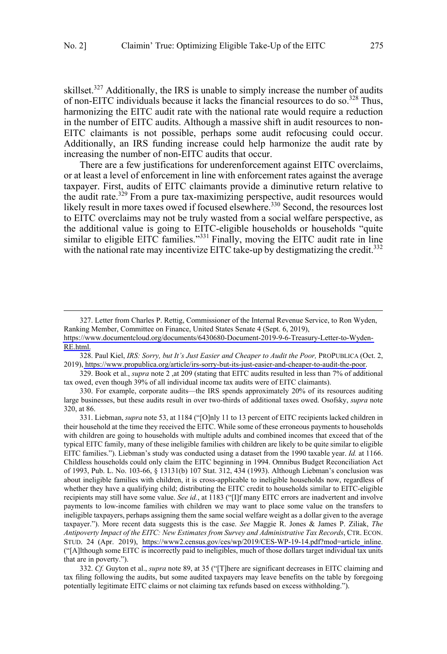skillset.<sup>327</sup> Additionally, the IRS is unable to simply increase the number of audits of non-EITC individuals because it lacks the financial resources to do so.<sup>328</sup> Thus, harmonizing the EITC audit rate with the national rate would require a reduction in the number of EITC audits. Although a massive shift in audit resources to non-EITC claimants is not possible, perhaps some audit refocusing could occur. Additionally, an IRS funding increase could help harmonize the audit rate by increasing the number of non-EITC audits that occur.

There are a few justifications for underenforcement against EITC overclaims, or at least a level of enforcement in line with enforcement rates against the average taxpayer. First, audits of EITC claimants provide a diminutive return relative to the audit rate.<sup>329</sup> From a pure tax-maximizing perspective, audit resources would likely result in more taxes owed if focused elsewhere.<sup>330</sup> Second, the resources lost to EITC overclaims may not be truly wasted from a social welfare perspective, as the additional value is going to EITC-eligible households or households "quite similar to eligible EITC families."<sup>331</sup> Finally, moving the EITC audit rate in line with the national rate may incentivize EITC take-up by destigmatizing the credit.<sup>332</sup>

 $\overline{a}$ 

329. Book et al., *supra* note 2 ,at 209 (stating that EITC audits resulted in less than 7% of additional tax owed, even though 39% of all individual income tax audits were of EITC claimants).

332. *Cf.* Guyton et al., *supra* note 89, at 35 ("[T]here are significant decreases in EITC claiming and tax filing following the audits, but some audited taxpayers may leave benefits on the table by foregoing potentially legitimate EITC claims or not claiming tax refunds based on excess withholding.").

<sup>327.</sup> Letter from Charles P. Rettig, Commissioner of the Internal Revenue Service, to Ron Wyden, Ranking Member, Committee on Finance, United States Senate 4 (Sept. 6, 2019),

[https://www.documentcloud.org/documents/6430680-Document-2019-9-6-Treasury-Letter-to-Wyden-](https://www.documentcloud.org/documents/6430680-Document-2019-9-6-Treasury-Letter-to-Wyden-RE.html)[RE.html.](https://www.documentcloud.org/documents/6430680-Document-2019-9-6-Treasury-Letter-to-Wyden-RE.html)

<sup>328.</sup> Paul Kiel, *IRS: Sorry, but It's Just Easier and Cheaper to Audit the Poor, PROPUBLICA* (Oct. 2, 2019), [https://www.propublica.org/article/irs-sorry-but-its-just-easier-and-cheaper-to-audit-the-poor.](https://www.propublica.org/article/irs-sorry-but-its-just-easier-and-cheaper-to-audit-the-poor)

<sup>330.</sup> For example, corporate audits—the IRS spends approximately 20% of its resources auditing large businesses, but these audits result in over two-thirds of additional taxes owed. Osofsky, *supra* note 320, at 86.

<sup>331.</sup> Liebman, *supra* note 53, at 1184 ("[O]nly 11 to 13 percent of EITC recipients lacked children in their household at the time they received the EITC. While some of these erroneous payments to households with children are going to households with multiple adults and combined incomes that exceed that of the typical EITC family, many of these ineligible families with children are likely to be quite similar to eligible EITC families."). Liebman's study was conducted using a dataset from the 1990 taxable year. *Id.* at 1166. Childless households could only claim the EITC beginning in 1994. Omnibus Budget Reconciliation Act of 1993, Pub. L. No. 103-66, § 13131(b) 107 Stat. 312, 434 (1993). Although Liebman's conclusion was about ineligible families with children, it is cross-applicable to ineligible households now, regardless of whether they have a qualifying child; distributing the EITC credit to households similar to EITC-eligible recipients may still have some value. *See id.*, at 1183 ("[I]f many EITC errors are inadvertent and involve payments to low-income families with children we may want to place some value on the transfers to ineligible taxpayers, perhaps assigning them the same social welfare weight as a dollar given to the average taxpayer."). More recent data suggests this is the case. *See* Maggie R. Jones & James P. Ziliak, *The Antipoverty Impact of the EITC: New Estimates from Survey and Administrative Tax Records*, CTR. ECON. STUD. 24 (Apr. 2019), https://www2.census.gov/ces/wp/2019/CES-WP-19-14.pdf?mod=article inline. ("[A]lthough some EITC is incorrectly paid to ineligibles, much of those dollars target individual tax units that are in poverty.").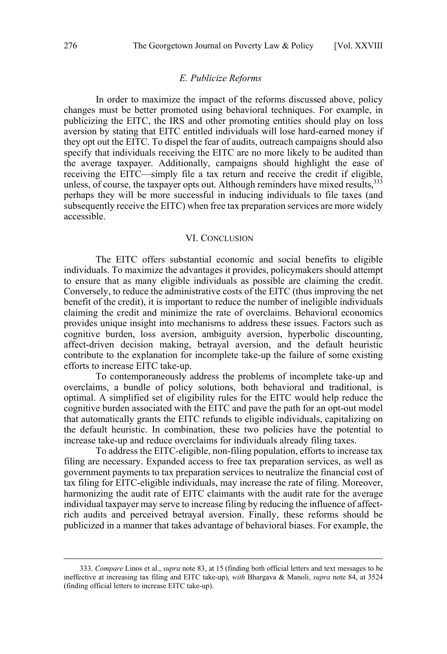# *E. Publicize Reforms*

<span id="page-33-0"></span>In order to maximize the impact of the reforms discussed above, policy changes must be better promoted using behavioral techniques. For example, in publicizing the EITC, the IRS and other promoting entities should play on loss aversion by stating that EITC entitled individuals will lose hard-earned money if they opt out the EITC. To dispel the fear of audits, outreach campaigns should also specify that individuals receiving the EITC are no more likely to be audited than the average taxpayer. Additionally, campaigns should highlight the ease of receiving the EITC—simply file a tax return and receive the credit if eligible, unless, of course, the taxpayer opts out. Although reminders have mixed results,  $333$ perhaps they will be more successful in inducing individuals to file taxes (and subsequently receive the EITC) when free tax preparation services are more widely accessible.

#### VI. CONCLUSION

The EITC offers substantial economic and social benefits to eligible individuals. To maximize the advantages it provides, policymakers should attempt to ensure that as many eligible individuals as possible are claiming the credit. Conversely, to reduce the administrative costs of the EITC (thus improving the net benefit of the credit), it is important to reduce the number of ineligible individuals claiming the credit and minimize the rate of overclaims. Behavioral economics provides unique insight into mechanisms to address these issues. Factors such as cognitive burden, loss aversion, ambiguity aversion, hyperbolic discounting, affect-driven decision making, betrayal aversion, and the default heuristic contribute to the explanation for incomplete take-up the failure of some existing efforts to increase EITC take-up.

To contemporaneously address the problems of incomplete take-up and overclaims, a bundle of policy solutions, both behavioral and traditional, is optimal. A simplified set of eligibility rules for the EITC would help reduce the cognitive burden associated with the EITC and pave the path for an opt-out model that automatically grants the EITC refunds to eligible individuals, capitalizing on the default heuristic. In combination, these two policies have the potential to increase take-up and reduce overclaims for individuals already filing taxes.

To address the EITC-eligible, non-filing population, efforts to increase tax filing are necessary. Expanded access to free tax preparation services, as well as government payments to tax preparation services to neutralize the financial cost of tax filing for EITC-eligible individuals, may increase the rate of filing. Moreover, harmonizing the audit rate of EITC claimants with the audit rate for the average individual taxpayer may serve to increase filing by reducing the influence of affectrich audits and perceived betrayal aversion. Finally, these reforms should be publicized in a manner that takes advantage of behavioral biases. For example, the

 <sup>333.</sup> *Compare* Linos et al., *supra* note 83, at <sup>15</sup> (finding both official letters and text messages to be ineffective at increasing tax filing and EITC take-up), *with* Bhargava & Manoli, *supra* note 84, at 3524 (finding official letters to increase EITC take-up).